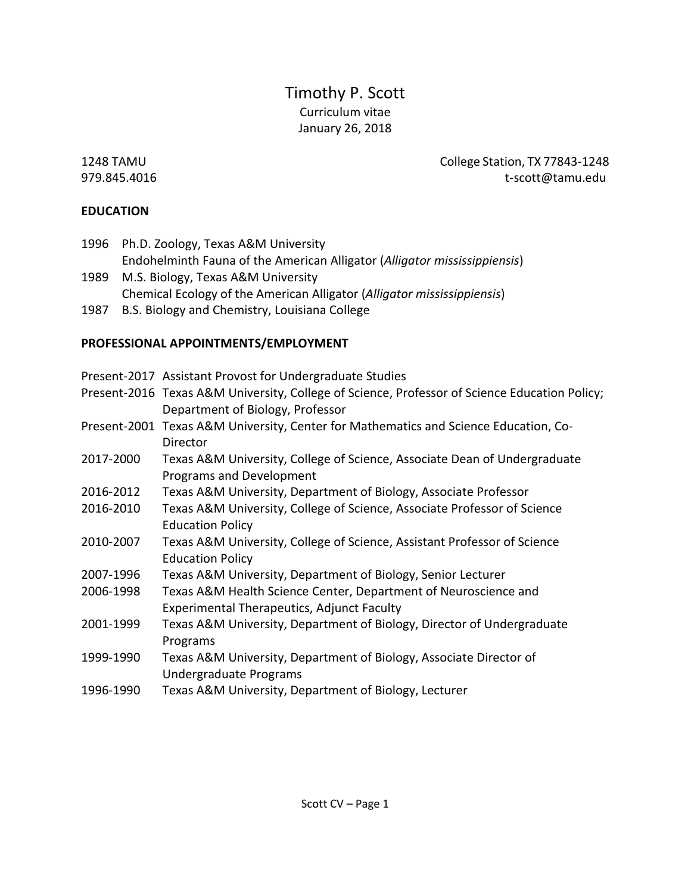# Timothy P. Scott Curriculum vitae January 26, 2018

1248 TAMU College Station, TX 77843-1248 979.845.4016 t-scott@tamu.edu

## **EDUCATION**

- 1996 Ph.D. Zoology, Texas A&M University Endohelminth Fauna of the American Alligator (*Alligator mississippiensis*) 1989 M.S. Biology, Texas A&M University
- Chemical Ecology of the American Alligator (*Alligator mississippiensis*)
- 1987 B.S. Biology and Chemistry, Louisiana College

## **PROFESSIONAL APPOINTMENTS/EMPLOYMENT**

- Present-2017 Assistant Provost for Undergraduate Studies
- Present-2016 Texas A&M University, College of Science, Professor of Science Education Policy; Department of Biology, Professor
- Present-2001 Texas A&M University, Center for Mathematics and Science Education, Co-Director
- 2017-2000 Texas A&M University, College of Science, Associate Dean of Undergraduate Programs and Development
- 2016-2012 Texas A&M University, Department of Biology, Associate Professor
- 2016-2010 Texas A&M University, College of Science, Associate Professor of Science Education Policy
- 2010-2007 Texas A&M University, College of Science, Assistant Professor of Science Education Policy
- 2007-1996 Texas A&M University, Department of Biology, Senior Lecturer
- 2006-1998 Texas A&M Health Science Center, Department of Neuroscience and Experimental Therapeutics, Adjunct Faculty
- 2001-1999 Texas A&M University, Department of Biology, Director of Undergraduate Programs
- 1999-1990 Texas A&M University, Department of Biology, Associate Director of Undergraduate Programs
- 1996-1990 Texas A&M University, Department of Biology, Lecturer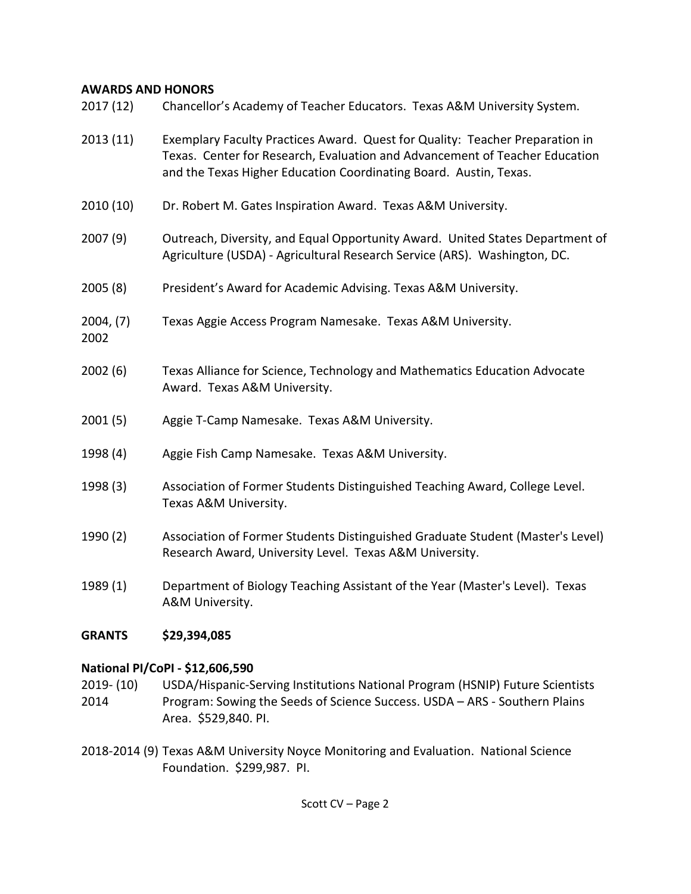## **AWARDS AND HONORS**

| 2013(11)<br>2010(10)<br>2007(9) | Exemplary Faculty Practices Award. Quest for Quality: Teacher Preparation in<br>Texas. Center for Research, Evaluation and Advancement of Teacher Education<br>and the Texas Higher Education Coordinating Board. Austin, Texas.<br>Dr. Robert M. Gates Inspiration Award. Texas A&M University.<br>Outreach, Diversity, and Equal Opportunity Award. United States Department of |
|---------------------------------|-----------------------------------------------------------------------------------------------------------------------------------------------------------------------------------------------------------------------------------------------------------------------------------------------------------------------------------------------------------------------------------|
|                                 |                                                                                                                                                                                                                                                                                                                                                                                   |
|                                 |                                                                                                                                                                                                                                                                                                                                                                                   |
|                                 | Agriculture (USDA) - Agricultural Research Service (ARS). Washington, DC.                                                                                                                                                                                                                                                                                                         |
| 2005(8)                         | President's Award for Academic Advising. Texas A&M University.                                                                                                                                                                                                                                                                                                                    |
| 2004, (7)<br>2002               | Texas Aggie Access Program Namesake. Texas A&M University.                                                                                                                                                                                                                                                                                                                        |
| 2002(6)                         | Texas Alliance for Science, Technology and Mathematics Education Advocate<br>Award. Texas A&M University.                                                                                                                                                                                                                                                                         |
| 2001(5)                         | Aggie T-Camp Namesake. Texas A&M University.                                                                                                                                                                                                                                                                                                                                      |
| 1998 (4)                        | Aggie Fish Camp Namesake. Texas A&M University.                                                                                                                                                                                                                                                                                                                                   |
| 1998 (3)                        | Association of Former Students Distinguished Teaching Award, College Level.<br>Texas A&M University.                                                                                                                                                                                                                                                                              |
|                                 |                                                                                                                                                                                                                                                                                                                                                                                   |
| 1990 (2)                        | Association of Former Students Distinguished Graduate Student (Master's Level)<br>Research Award, University Level. Texas A&M University.                                                                                                                                                                                                                                         |
| 1989 (1)                        | Department of Biology Teaching Assistant of the Year (Master's Level). Texas<br>A&M University.                                                                                                                                                                                                                                                                                   |

## **National PI/CoPI - \$12,606,590**

- 2019- (10) USDA/Hispanic-Serving Institutions National Program (HSNIP) Future Scientists 2014 Program: Sowing the Seeds of Science Success. USDA – ARS - Southern Plains Area. \$529,840. PI.
- 2018-2014 (9) Texas A&M University Noyce Monitoring and Evaluation. National Science Foundation. \$299,987. PI.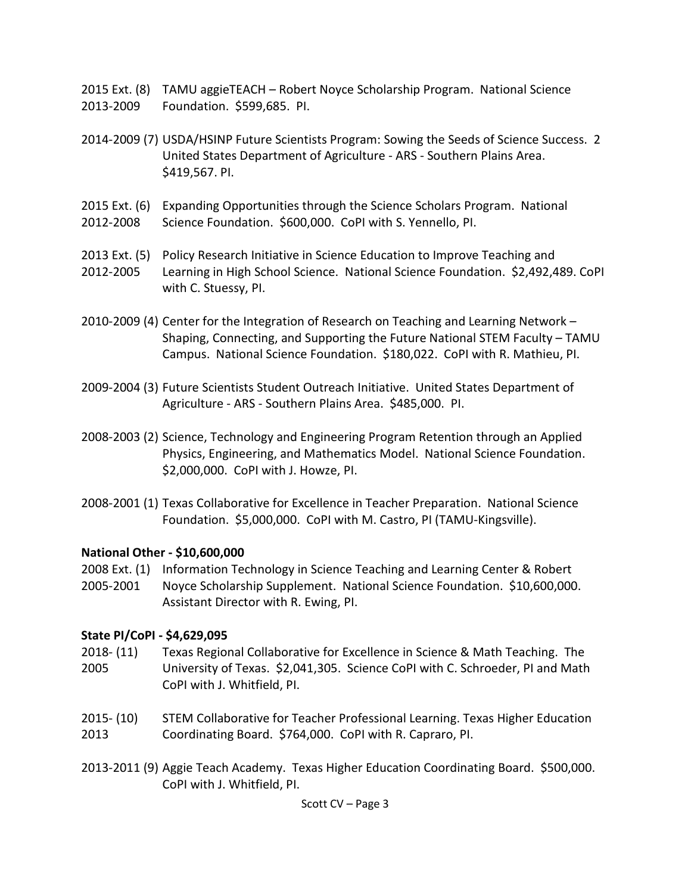2015 Ext. (8) TAMU aggieTEACH – Robert Noyce Scholarship Program. National Science 2013-2009 Foundation. \$599,685. PI.

- 2014-2009 (7) USDA/HSINP Future Scientists Program: Sowing the Seeds of Science Success. 2 United States Department of Agriculture - ARS - Southern Plains Area. \$419,567. PI.
- 2015 Ext. (6) Expanding Opportunities through the Science Scholars Program. National 2012-2008 Science Foundation. \$600,000. CoPI with S. Yennello, PI.
- 2013 Ext. (5) Policy Research Initiative in Science Education to Improve Teaching and
- 2012-2005 Learning in High School Science. National Science Foundation. \$2,492,489. CoPI with C. Stuessy, PI.
- 2010-2009 (4) Center for the Integration of Research on Teaching and Learning Network Shaping, Connecting, and Supporting the Future National STEM Faculty – TAMU Campus. National Science Foundation. \$180,022. CoPI with R. Mathieu, PI.
- 2009-2004 (3) Future Scientists Student Outreach Initiative. United States Department of Agriculture - ARS - Southern Plains Area. \$485,000. PI.
- 2008-2003 (2) Science, Technology and Engineering Program Retention through an Applied Physics, Engineering, and Mathematics Model. National Science Foundation. \$2,000,000. CoPI with J. Howze, PI.
- 2008-2001 (1) Texas Collaborative for Excellence in Teacher Preparation. National Science Foundation. \$5,000,000. CoPI with M. Castro, PI (TAMU-Kingsville).

## **National Other - \$10,600,000**

- 2008 Ext. (1) Information Technology in Science Teaching and Learning Center & Robert
- 2005-2001 Noyce Scholarship Supplement. National Science Foundation. \$10,600,000. Assistant Director with R. Ewing, PI.

## **State PI/CoPI - \$4,629,095**

- 2018- (11) Texas Regional Collaborative for Excellence in Science & Math Teaching. The 2005 University of Texas. \$2,041,305. Science CoPI with C. Schroeder, PI and Math CoPI with J. Whitfield, PI.
- 2015- (10) STEM Collaborative for Teacher Professional Learning. Texas Higher Education 2013 Coordinating Board. \$764,000. CoPI with R. Capraro, PI.
- 2013-2011 (9) Aggie Teach Academy. Texas Higher Education Coordinating Board. \$500,000. CoPI with J. Whitfield, PI.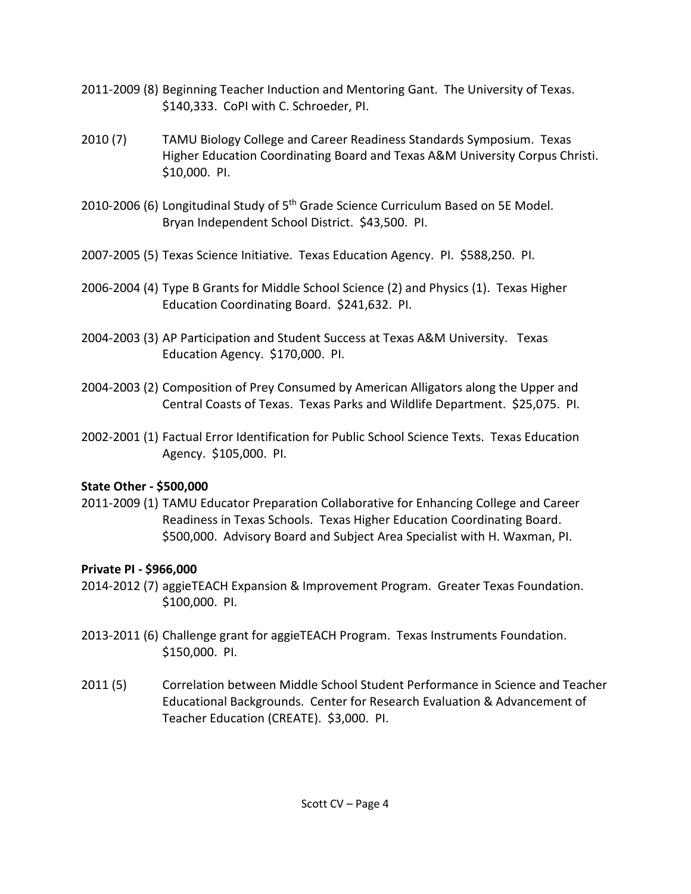- 2011-2009 (8) Beginning Teacher Induction and Mentoring Gant. The University of Texas. \$140,333. CoPI with C. Schroeder, PI.
- 2010 (7) TAMU Biology College and Career Readiness Standards Symposium. Texas Higher Education Coordinating Board and Texas A&M University Corpus Christi. \$10,000. PI.
- 2010-2006 (6) Longitudinal Study of 5<sup>th</sup> Grade Science Curriculum Based on 5E Model. Bryan Independent School District. \$43,500. PI.
- 2007-2005 (5) Texas Science Initiative. Texas Education Agency. PI. \$588,250. PI.
- 2006-2004 (4) Type B Grants for Middle School Science (2) and Physics (1). Texas Higher Education Coordinating Board. \$241,632. PI.
- 2004-2003 (3) AP Participation and Student Success at Texas A&M University. Texas Education Agency. \$170,000. PI.
- 2004-2003 (2) Composition of Prey Consumed by American Alligators along the Upper and Central Coasts of Texas. Texas Parks and Wildlife Department. \$25,075. PI.
- 2002-2001 (1) Factual Error Identification for Public School Science Texts. Texas Education Agency. \$105,000. PI.

# **State Other - \$500,000**

2011-2009 (1) TAMU Educator Preparation Collaborative for Enhancing College and Career Readiness in Texas Schools. Texas Higher Education Coordinating Board. \$500,000. Advisory Board and Subject Area Specialist with H. Waxman, PI.

# **Private PI - \$966,000**

- 2014-2012 (7) aggieTEACH Expansion & Improvement Program. Greater Texas Foundation. \$100,000. PI.
- 2013-2011 (6) Challenge grant for aggieTEACH Program. Texas Instruments Foundation. \$150,000. PI.
- 2011 (5) Correlation between Middle School Student Performance in Science and Teacher Educational Backgrounds. Center for Research Evaluation & Advancement of Teacher Education (CREATE). \$3,000. PI.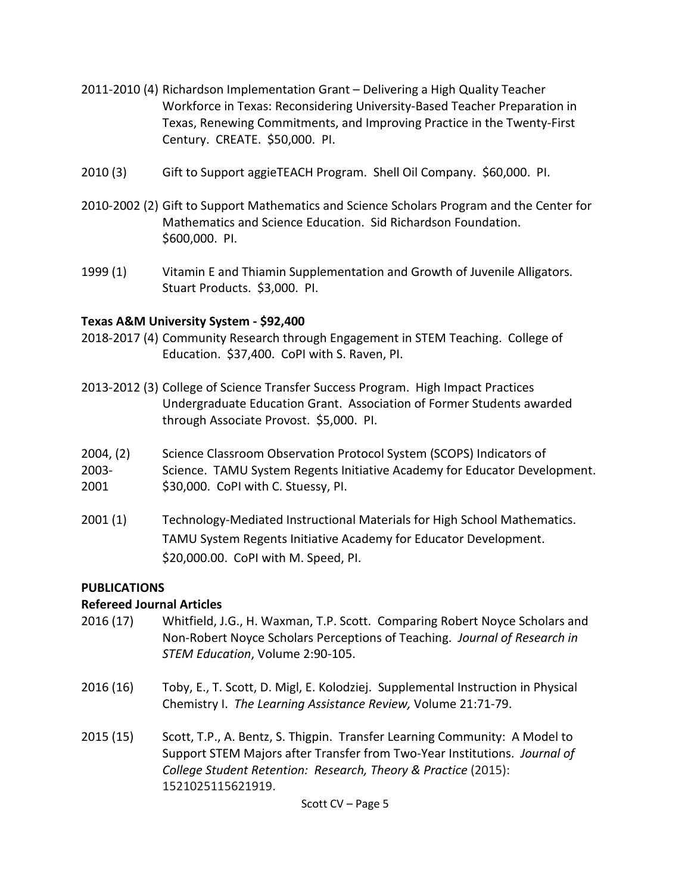- 2011-2010 (4) Richardson Implementation Grant Delivering a High Quality Teacher Workforce in Texas: Reconsidering University-Based Teacher Preparation in Texas, Renewing Commitments, and Improving Practice in the Twenty-First Century. CREATE. \$50,000. PI.
- 2010 (3) Gift to Support aggieTEACH Program. Shell Oil Company. \$60,000. PI.
- 2010-2002 (2) Gift to Support Mathematics and Science Scholars Program and the Center for Mathematics and Science Education. Sid Richardson Foundation. \$600,000. PI.
- 1999 (1) Vitamin E and Thiamin Supplementation and Growth of Juvenile Alligators. Stuart Products. \$3,000. PI.

#### **Texas A&M University System - \$92,400**

- 2018-2017 (4) Community Research through Engagement in STEM Teaching. College of Education. \$37,400. CoPI with S. Raven, PI.
- 2013-2012 (3) College of Science Transfer Success Program. High Impact Practices Undergraduate Education Grant. Association of Former Students awarded through Associate Provost. \$5,000. PI.
- 2004, (2) Science Classroom Observation Protocol System (SCOPS) Indicators of
- 2003- Science. TAMU System Regents Initiative Academy for Educator Development. 2001 \$30,000. CoPI with C. Stuessy, PI.
- 2001 (1) Technology-Mediated Instructional Materials for High School Mathematics. TAMU System Regents Initiative Academy for Educator Development. \$20,000.00. CoPI with M. Speed, PI.

### **PUBLICATIONS**

### **Refereed Journal Articles**

- 2016 (17) Whitfield, J.G., H. Waxman, T.P. Scott. Comparing Robert Noyce Scholars and Non-Robert Noyce Scholars Perceptions of Teaching. *Journal of Research in STEM Education*, Volume 2:90-105.
- 2016 (16) Toby, E., T. Scott, D. Migl, E. Kolodziej. Supplemental Instruction in Physical Chemistry I. *The Learning Assistance Review,* Volume 21:71-79.
- 2015 (15) Scott, T.P., A. Bentz, S. Thigpin. Transfer Learning Community: A Model to Support STEM Majors after Transfer from Two-Year Institutions. *Journal of College Student Retention: Research, Theory & Practice* (2015): 1521025115621919.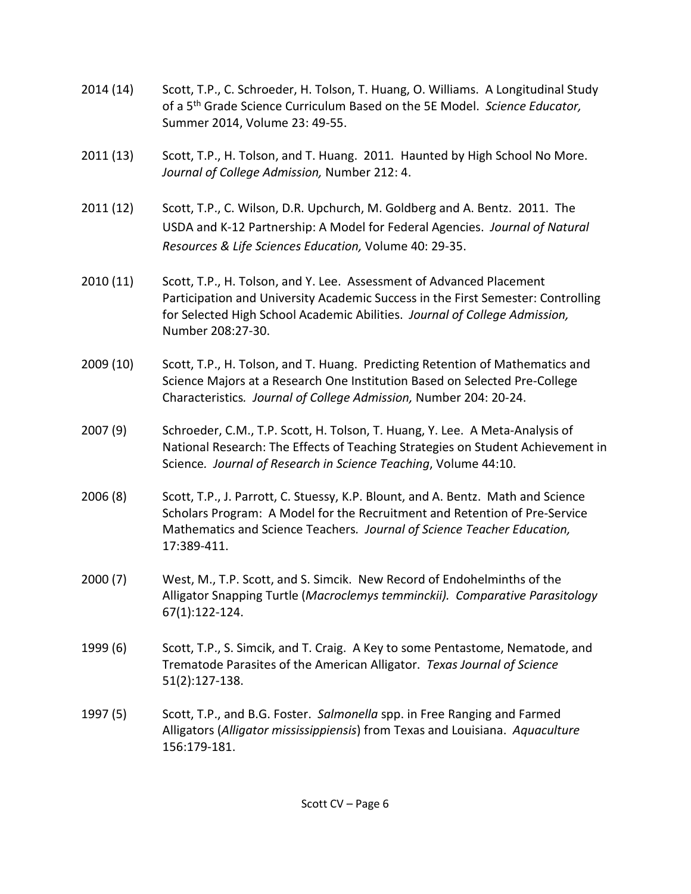- 2014 (14) Scott, T.P., C. Schroeder, H. Tolson, T. Huang, O. Williams. A Longitudinal Study of a 5th Grade Science Curriculum Based on the 5E Model. *Science Educator,* Summer 2014, Volume 23: 49-55.
- 2011 (13) Scott, T.P., H. Tolson, and T. Huang. 2011*.* Haunted by High School No More. *Journal of College Admission,* Number 212: 4.
- 2011 (12) Scott, T.P., C. Wilson, D.R. Upchurch, M. Goldberg and A. Bentz. 2011. The USDA and K-12 Partnership: A Model for Federal Agencies. *Journal of Natural Resources & Life Sciences Education,* Volume 40: 29-35.
- 2010 (11) Scott, T.P., H. Tolson, and Y. Lee. Assessment of Advanced Placement Participation and University Academic Success in the First Semester: Controlling for Selected High School Academic Abilities. *Journal of College Admission,* Number 208:27-30.
- 2009 (10) Scott, T.P., H. Tolson, and T. Huang. Predicting Retention of Mathematics and Science Majors at a Research One Institution Based on Selected Pre-College Characteristics*. Journal of College Admission,* Number 204: 20-24.
- 2007 (9) Schroeder, C.M., T.P. Scott, H. Tolson, T. Huang, Y. Lee. A Meta-Analysis of National Research: The Effects of Teaching Strategies on Student Achievement in Science*. Journal of Research in Science Teaching*, Volume 44:10.
- 2006 (8) Scott, T.P., J. Parrott, C. Stuessy, K.P. Blount, and A. Bentz. Math and Science Scholars Program: A Model for the Recruitment and Retention of Pre-Service Mathematics and Science Teachers*. Journal of Science Teacher Education,* 17:389-411.
- 2000 (7) West, M., T.P. Scott, and S. Simcik. New Record of Endohelminths of the Alligator Snapping Turtle (*Macroclemys temminckii). Comparative Parasitology* 67(1):122-124.
- 1999 (6) Scott, T.P., S. Simcik, and T. Craig. A Key to some Pentastome, Nematode, and Trematode Parasites of the American Alligator. *Texas Journal of Science* 51(2):127-138.
- 1997 (5) Scott, T.P., and B.G. Foster. *Salmonella* spp. in Free Ranging and Farmed Alligators (*Alligator mississippiensis*) from Texas and Louisiana. *Aquaculture*  156:179-181.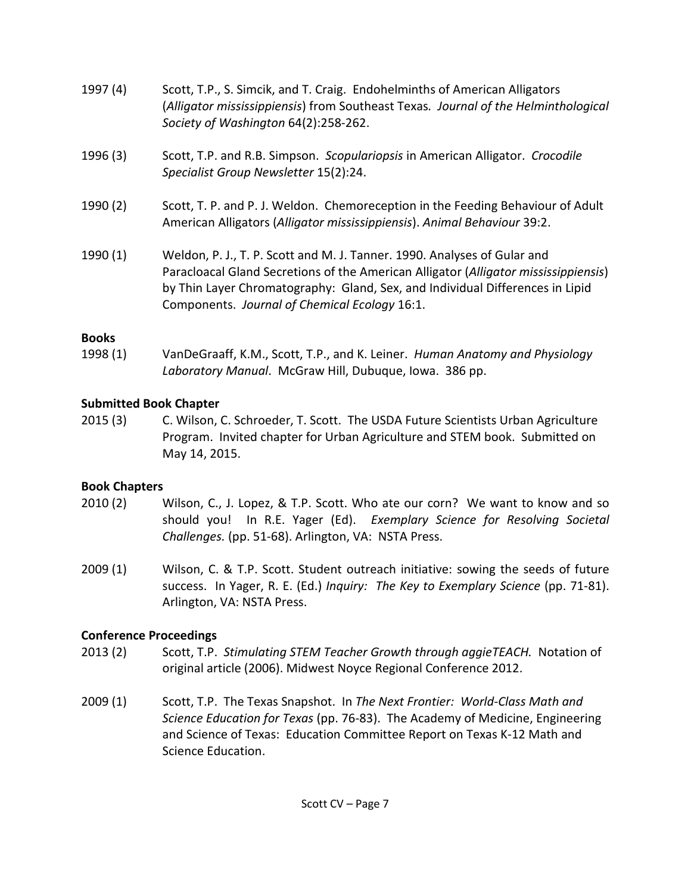- 1997 (4) Scott, T.P., S. Simcik, and T. Craig. Endohelminths of American Alligators (*Alligator mississippiensis*) from Southeast Texas*. Journal of the Helminthological Society of Washington* 64(2):258-262.
- 1996 (3) Scott, T.P. and R.B. Simpson. *Scopulariopsis* in American Alligator. *Crocodile Specialist Group Newsletter* 15(2):24.
- 1990 (2) Scott, T. P. and P. J. Weldon. Chemoreception in the Feeding Behaviour of Adult American Alligators (*Alligator mississippiensis*). *Animal Behaviour* 39:2.
- 1990 (1) Weldon, P. J., T. P. Scott and M. J. Tanner. 1990. Analyses of Gular and Paracloacal Gland Secretions of the American Alligator (*Alligator mississippiensis*) by Thin Layer Chromatography: Gland, Sex, and Individual Differences in Lipid Components. *Journal of Chemical Ecology* 16:1.

## **Books**

1998 (1) VanDeGraaff, K.M., Scott, T.P., and K. Leiner. *Human Anatomy and Physiology Laboratory Manual*. McGraw Hill, Dubuque, Iowa. 386 pp.

## **Submitted Book Chapter**

2015 (3) C. Wilson, C. Schroeder, T. Scott. The USDA Future Scientists Urban Agriculture Program. Invited chapter for Urban Agriculture and STEM book. Submitted on May 14, 2015.

# **Book Chapters**

- 2010 (2) Wilson, C., J. Lopez, & T.P. Scott. Who ate our corn? We want to know and so should you! In R.E. Yager (Ed). *Exemplary Science for Resolving Societal Challenges.* (pp. 51-68). Arlington, VA: NSTA Press.
- 2009 (1) Wilson, C. & T.P. Scott. Student outreach initiative: sowing the seeds of future success. In Yager, R. E. (Ed.) *Inquiry: The Key to Exemplary Science* (pp. 71-81). Arlington, VA: NSTA Press.

# **Conference Proceedings**

- 2013 (2) Scott, T.P. *Stimulating STEM Teacher Growth through aggieTEACH.* Notation of original article (2006). Midwest Noyce Regional Conference 2012.
- 2009 (1) Scott, T.P. The Texas Snapshot. In *The Next Frontier: World-Class Math and Science Education for Texas* (pp. 76-83). The Academy of Medicine, Engineering and Science of Texas: Education Committee Report on Texas K-12 Math and Science Education.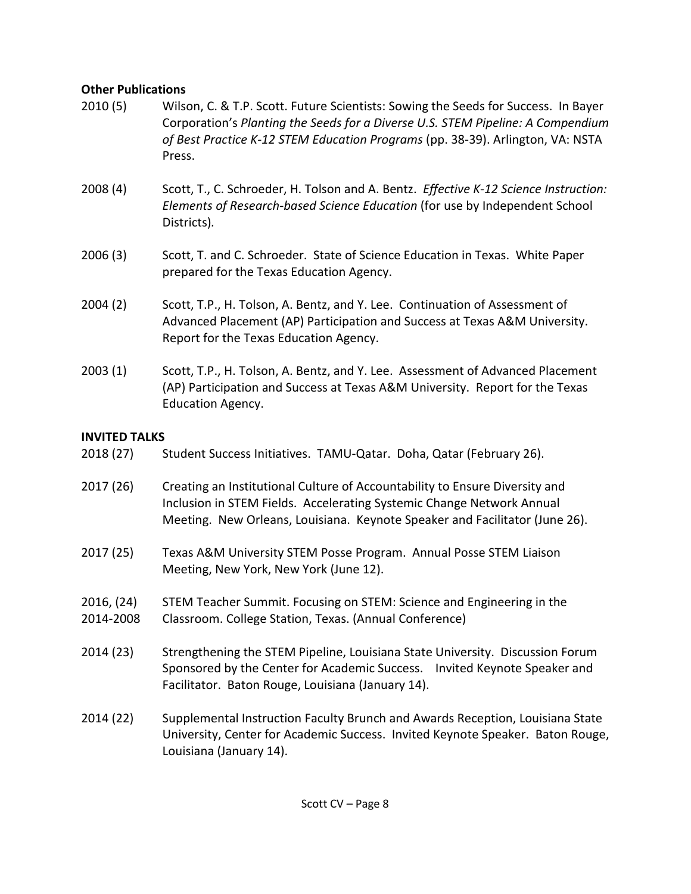## **Other Publications**

- 2010 (5) Wilson, C. & T.P. Scott. Future Scientists: Sowing the Seeds for Success. In Bayer Corporation's *Planting the Seeds for a Diverse U.S. STEM Pipeline: A Compendium of Best Practice K-12 STEM Education Programs* (pp. 38-39). Arlington, VA: NSTA Press.
- 2008 (4) Scott, T., C. Schroeder, H. Tolson and A. Bentz. *Effective K-12 Science Instruction: Elements of Research-based Science Education* (for use by Independent School Districts)*.*
- 2006 (3) Scott, T. and C. Schroeder. State of Science Education in Texas. White Paper prepared for the Texas Education Agency.
- 2004 (2) Scott, T.P., H. Tolson, A. Bentz, and Y. Lee. Continuation of Assessment of Advanced Placement (AP) Participation and Success at Texas A&M University. Report for the Texas Education Agency.
- 2003 (1) Scott, T.P., H. Tolson, A. Bentz, and Y. Lee. Assessment of Advanced Placement (AP) Participation and Success at Texas A&M University. Report for the Texas Education Agency.

## **INVITED TALKS**

- 2018 (27) Student Success Initiatives. TAMU-Qatar. Doha, Qatar (February 26).
- 2017 (26) Creating an Institutional Culture of Accountability to Ensure Diversity and Inclusion in STEM Fields. Accelerating Systemic Change Network Annual Meeting. New Orleans, Louisiana. Keynote Speaker and Facilitator (June 26).
- 2017 (25) Texas A&M University STEM Posse Program. Annual Posse STEM Liaison Meeting, New York, New York (June 12).
- 2016, (24) STEM Teacher Summit. Focusing on STEM: Science and Engineering in the 2014-2008 Classroom. College Station, Texas. (Annual Conference)
- 2014 (23) Strengthening the STEM Pipeline, Louisiana State University. Discussion Forum Sponsored by the Center for Academic Success. Invited Keynote Speaker and Facilitator. Baton Rouge, Louisiana (January 14).
- 2014 (22) Supplemental Instruction Faculty Brunch and Awards Reception, Louisiana State University, Center for Academic Success. Invited Keynote Speaker. Baton Rouge, Louisiana (January 14).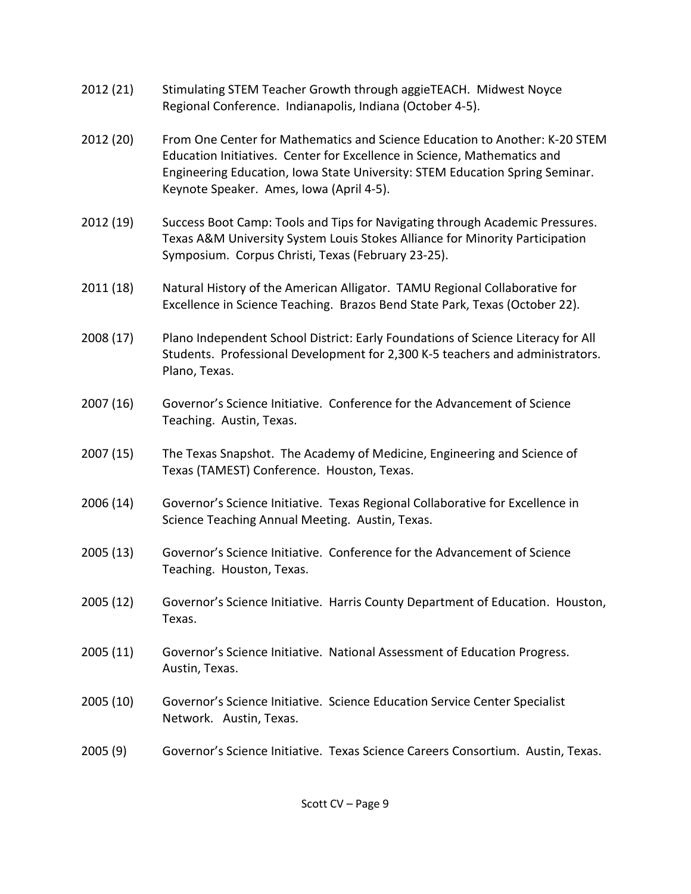- 2012 (21) Stimulating STEM Teacher Growth through aggieTEACH. Midwest Noyce Regional Conference. Indianapolis, Indiana (October 4-5).
- 2012 (20) From One Center for Mathematics and Science Education to Another: K-20 STEM Education Initiatives. Center for Excellence in Science, Mathematics and Engineering Education, Iowa State University: STEM Education Spring Seminar. Keynote Speaker. Ames, Iowa (April 4-5).
- 2012 (19) Success Boot Camp: Tools and Tips for Navigating through Academic Pressures. Texas A&M University System Louis Stokes Alliance for Minority Participation Symposium. Corpus Christi, Texas (February 23-25).
- 2011 (18) Natural History of the American Alligator. TAMU Regional Collaborative for Excellence in Science Teaching. Brazos Bend State Park, Texas (October 22).
- 2008 (17) Plano Independent School District: Early Foundations of Science Literacy for All Students. Professional Development for 2,300 K-5 teachers and administrators. Plano, Texas.
- 2007 (16) Governor's Science Initiative. Conference for the Advancement of Science Teaching. Austin, Texas.
- 2007 (15) The Texas Snapshot. The Academy of Medicine, Engineering and Science of Texas (TAMEST) Conference. Houston, Texas.
- 2006 (14) Governor's Science Initiative. Texas Regional Collaborative for Excellence in Science Teaching Annual Meeting. Austin, Texas.
- 2005 (13) Governor's Science Initiative. Conference for the Advancement of Science Teaching. Houston, Texas.
- 2005 (12) Governor's Science Initiative. Harris County Department of Education. Houston, Texas.
- 2005 (11) Governor's Science Initiative. National Assessment of Education Progress. Austin, Texas.
- 2005 (10) Governor's Science Initiative. Science Education Service Center Specialist Network. Austin, Texas.
- 2005 (9) Governor's Science Initiative. Texas Science Careers Consortium. Austin, Texas.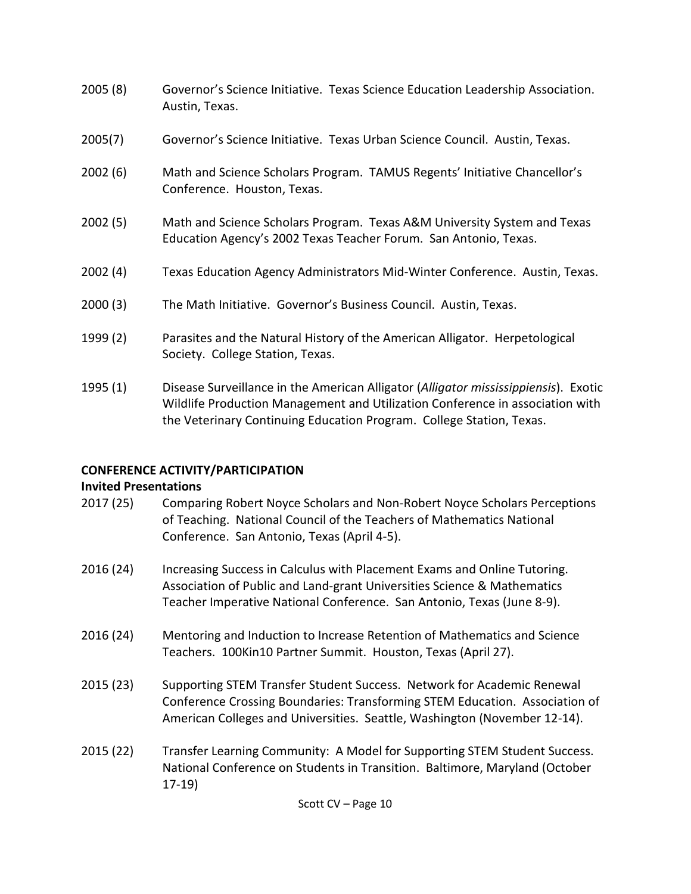- 2005 (8) Governor's Science Initiative. Texas Science Education Leadership Association. Austin, Texas.
- 2005(7) Governor's Science Initiative. Texas Urban Science Council. Austin, Texas.
- 2002 (6) Math and Science Scholars Program. TAMUS Regents' Initiative Chancellor's Conference. Houston, Texas.
- 2002 (5) Math and Science Scholars Program. Texas A&M University System and Texas Education Agency's 2002 Texas Teacher Forum. San Antonio, Texas.
- 2002 (4) Texas Education Agency Administrators Mid-Winter Conference. Austin, Texas.
- 2000 (3) The Math Initiative. Governor's Business Council. Austin, Texas.
- 1999 (2) Parasites and the Natural History of the American Alligator. Herpetological Society. College Station, Texas.
- 1995 (1) Disease Surveillance in the American Alligator (*Alligator mississippiensis*). Exotic Wildlife Production Management and Utilization Conference in association with the Veterinary Continuing Education Program. College Station, Texas.

## **CONFERENCE ACTIVITY/PARTICIPATION**

### **Invited Presentations**

- 2017 (25) Comparing Robert Noyce Scholars and Non-Robert Noyce Scholars Perceptions of Teaching. National Council of the Teachers of Mathematics National Conference. San Antonio, Texas (April 4-5).
- 2016 (24) Increasing Success in Calculus with Placement Exams and Online Tutoring. Association of Public and Land-grant Universities Science & Mathematics Teacher Imperative National Conference. San Antonio, Texas (June 8-9).
- 2016 (24) Mentoring and Induction to Increase Retention of Mathematics and Science Teachers. 100Kin10 Partner Summit. Houston, Texas (April 27).
- 2015 (23) Supporting STEM Transfer Student Success. Network for Academic Renewal Conference Crossing Boundaries: Transforming STEM Education. Association of American Colleges and Universities. Seattle, Washington (November 12-14).
- 2015 (22) Transfer Learning Community: A Model for Supporting STEM Student Success. National Conference on Students in Transition. Baltimore, Maryland (October 17-19)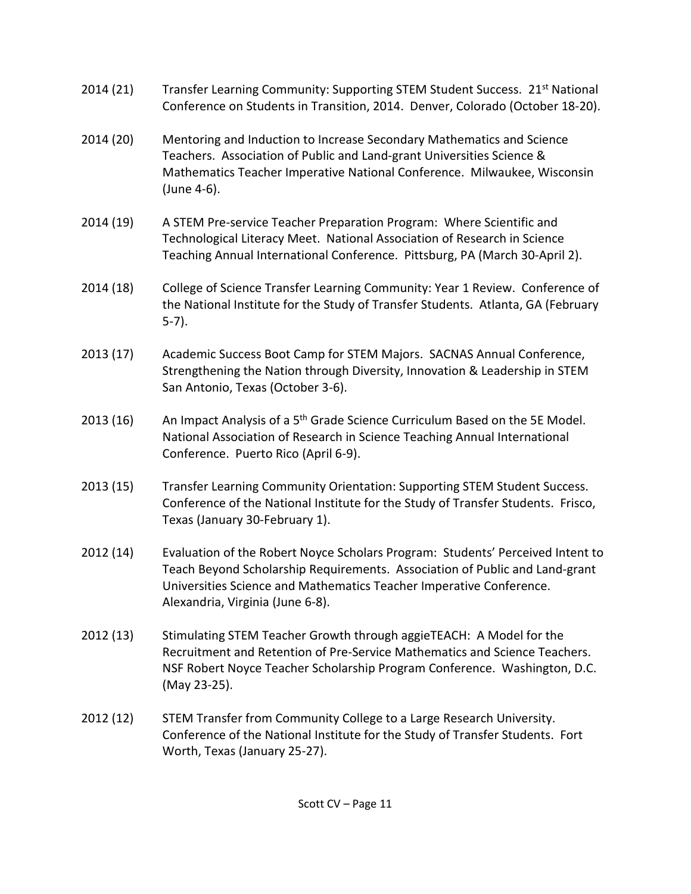- 2014 (21) Transfer Learning Community: Supporting STEM Student Success. 21<sup>st</sup> National Conference on Students in Transition, 2014. Denver, Colorado (October 18-20).
- 2014 (20) Mentoring and Induction to Increase Secondary Mathematics and Science Teachers. Association of Public and Land-grant Universities Science & Mathematics Teacher Imperative National Conference. Milwaukee, Wisconsin (June 4-6).
- 2014 (19) A STEM Pre-service Teacher Preparation Program: Where Scientific and Technological Literacy Meet. National Association of Research in Science Teaching Annual International Conference. Pittsburg, PA (March 30-April 2).
- 2014 (18) College of Science Transfer Learning Community: Year 1 Review. Conference of the National Institute for the Study of Transfer Students. Atlanta, GA (February 5-7).
- 2013 (17) Academic Success Boot Camp for STEM Majors. SACNAS Annual Conference, Strengthening the Nation through Diversity, Innovation & Leadership in STEM San Antonio, Texas (October 3-6).
- 2013 (16) An Impact Analysis of a  $5<sup>th</sup>$  Grade Science Curriculum Based on the 5E Model. National Association of Research in Science Teaching Annual International Conference. Puerto Rico (April 6-9).
- 2013 (15) Transfer Learning Community Orientation: Supporting STEM Student Success. Conference of the National Institute for the Study of Transfer Students. Frisco, Texas (January 30-February 1).
- 2012 (14) Evaluation of the Robert Noyce Scholars Program: Students' Perceived Intent to Teach Beyond Scholarship Requirements. Association of Public and Land-grant Universities Science and Mathematics Teacher Imperative Conference. Alexandria, Virginia (June 6-8).
- 2012 (13) Stimulating STEM Teacher Growth through aggieTEACH: A Model for the Recruitment and Retention of Pre-Service Mathematics and Science Teachers. NSF Robert Noyce Teacher Scholarship Program Conference. Washington, D.C. (May 23-25).
- 2012 (12) STEM Transfer from Community College to a Large Research University. Conference of the National Institute for the Study of Transfer Students. Fort Worth, Texas (January 25-27).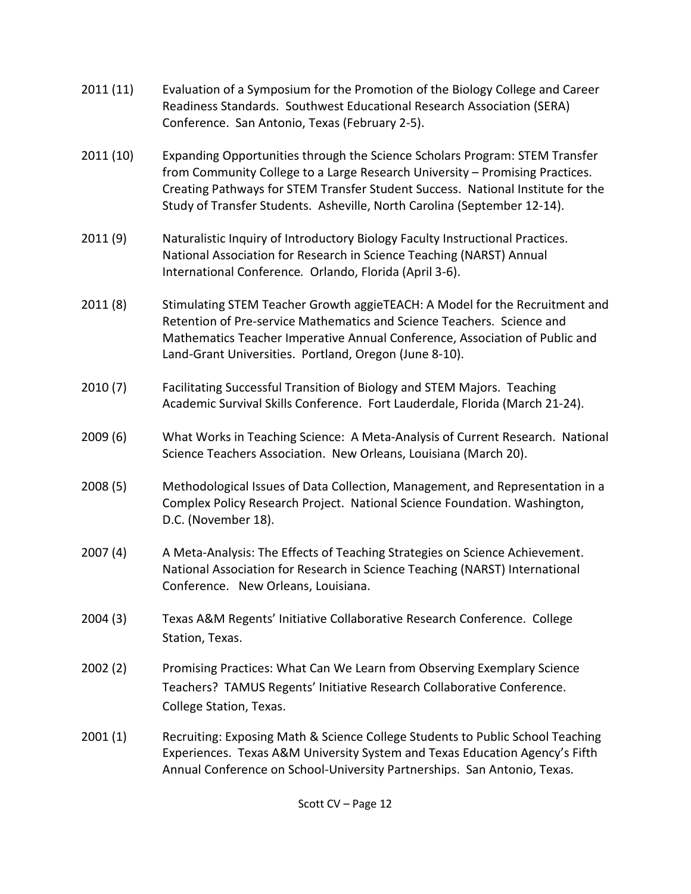- 2011 (11) Evaluation of a Symposium for the Promotion of the Biology College and Career Readiness Standards. Southwest Educational Research Association (SERA) Conference. San Antonio, Texas (February 2-5).
- 2011 (10) Expanding Opportunities through the Science Scholars Program: STEM Transfer from Community College to a Large Research University – Promising Practices. Creating Pathways for STEM Transfer Student Success. National Institute for the Study of Transfer Students. Asheville, North Carolina (September 12-14).
- 2011 (9) Naturalistic Inquiry of Introductory Biology Faculty Instructional Practices. National Association for Research in Science Teaching (NARST) Annual International Conference*.* Orlando, Florida (April 3-6).
- 2011 (8) Stimulating STEM Teacher Growth aggieTEACH: A Model for the Recruitment and Retention of Pre-service Mathematics and Science Teachers. Science and Mathematics Teacher Imperative Annual Conference, Association of Public and Land-Grant Universities. Portland, Oregon (June 8-10).
- 2010 (7) Facilitating Successful Transition of Biology and STEM Majors. Teaching Academic Survival Skills Conference. Fort Lauderdale, Florida (March 21-24).
- 2009 (6) What Works in Teaching Science: A Meta-Analysis of Current Research. National Science Teachers Association. New Orleans, Louisiana (March 20).
- 2008 (5) Methodological Issues of Data Collection, Management, and Representation in a Complex Policy Research Project. National Science Foundation. Washington, D.C. (November 18).
- 2007 (4) A Meta-Analysis: The Effects of Teaching Strategies on Science Achievement. National Association for Research in Science Teaching (NARST) International Conference. New Orleans, Louisiana.
- 2004 (3) Texas A&M Regents' Initiative Collaborative Research Conference. College Station, Texas.
- 2002 (2) Promising Practices: What Can We Learn from Observing Exemplary Science Teachers? TAMUS Regents' Initiative Research Collaborative Conference. College Station, Texas.
- 2001 (1) Recruiting: Exposing Math & Science College Students to Public School Teaching Experiences. Texas A&M University System and Texas Education Agency's Fifth Annual Conference on School-University Partnerships. San Antonio, Texas.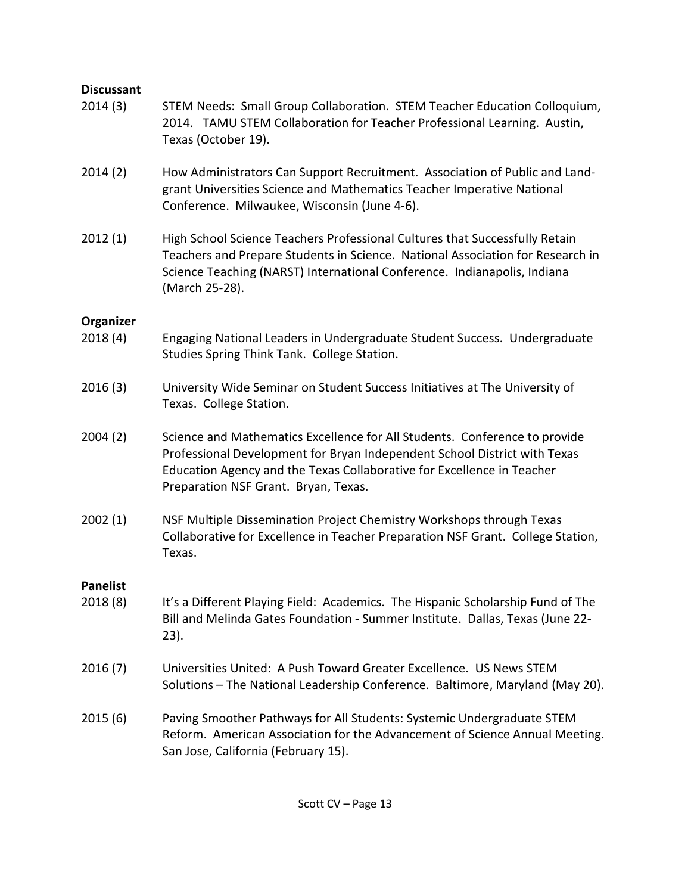## **Discussant**

- 2014 (3) STEM Needs: Small Group Collaboration. STEM Teacher Education Colloquium, 2014. TAMU STEM Collaboration for Teacher Professional Learning. Austin, Texas (October 19).
- 2014 (2) How Administrators Can Support Recruitment. Association of Public and Landgrant Universities Science and Mathematics Teacher Imperative National Conference. Milwaukee, Wisconsin (June 4-6).
- 2012 (1) High School Science Teachers Professional Cultures that Successfully Retain Teachers and Prepare Students in Science. National Association for Research in Science Teaching (NARST) International Conference. Indianapolis, Indiana (March 25-28).

### **Organizer**

- 2018 (4) Engaging National Leaders in Undergraduate Student Success. Undergraduate Studies Spring Think Tank. College Station.
- 2016 (3) University Wide Seminar on Student Success Initiatives at The University of Texas. College Station.
- 2004 (2) Science and Mathematics Excellence for All Students. Conference to provide Professional Development for Bryan Independent School District with Texas Education Agency and the Texas Collaborative for Excellence in Teacher Preparation NSF Grant. Bryan, Texas.
- 2002 (1) NSF Multiple Dissemination Project Chemistry Workshops through Texas Collaborative for Excellence in Teacher Preparation NSF Grant. College Station, Texas.

### **Panelist**

- 2018 (8) It's a Different Playing Field: Academics. The Hispanic Scholarship Fund of The Bill and Melinda Gates Foundation - Summer Institute. Dallas, Texas (June 22- 23).
- 2016 (7) Universities United: A Push Toward Greater Excellence. US News STEM Solutions – The National Leadership Conference. Baltimore, Maryland (May 20).
- 2015 (6) Paving Smoother Pathways for All Students: Systemic Undergraduate STEM Reform. American Association for the Advancement of Science Annual Meeting. San Jose, California (February 15).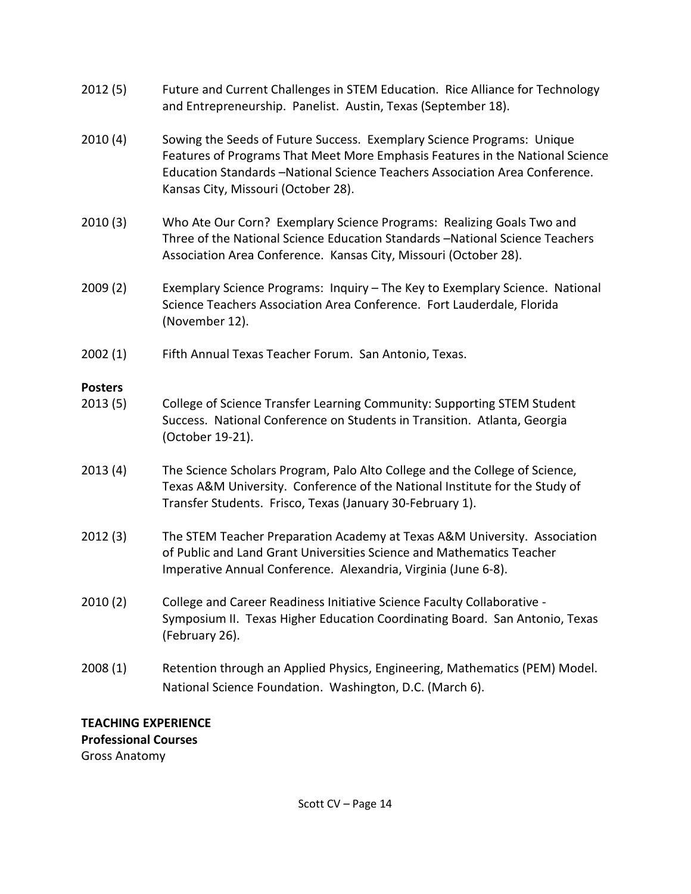- 2012 (5) Future and Current Challenges in STEM Education. Rice Alliance for Technology and Entrepreneurship. Panelist. Austin, Texas (September 18).
- 2010 (4) Sowing the Seeds of Future Success. Exemplary Science Programs: Unique Features of Programs That Meet More Emphasis Features in the National Science Education Standards –National Science Teachers Association Area Conference. Kansas City, Missouri (October 28).
- 2010 (3) Who Ate Our Corn? Exemplary Science Programs: Realizing Goals Two and Three of the National Science Education Standards –National Science Teachers Association Area Conference. Kansas City, Missouri (October 28).
- 2009 (2) Exemplary Science Programs: Inquiry The Key to Exemplary Science. National Science Teachers Association Area Conference. Fort Lauderdale, Florida (November 12).
- 2002 (1) Fifth Annual Texas Teacher Forum. San Antonio, Texas.

## **Posters**

- 2013 (5) College of Science Transfer Learning Community: Supporting STEM Student Success. National Conference on Students in Transition. Atlanta, Georgia (October 19-21).
- 2013 (4) The Science Scholars Program, Palo Alto College and the College of Science, Texas A&M University. Conference of the National Institute for the Study of Transfer Students. Frisco, Texas (January 30-February 1).
- 2012 (3) The STEM Teacher Preparation Academy at Texas A&M University. Association of Public and Land Grant Universities Science and Mathematics Teacher Imperative Annual Conference. Alexandria, Virginia (June 6-8).
- 2010 (2) College and Career Readiness Initiative Science Faculty Collaborative Symposium II. Texas Higher Education Coordinating Board. San Antonio, Texas (February 26).
- 2008 (1) Retention through an Applied Physics, Engineering, Mathematics (PEM) Model. National Science Foundation. Washington, D.C. (March 6).

## **TEACHING EXPERIENCE Professional Courses** Gross Anatomy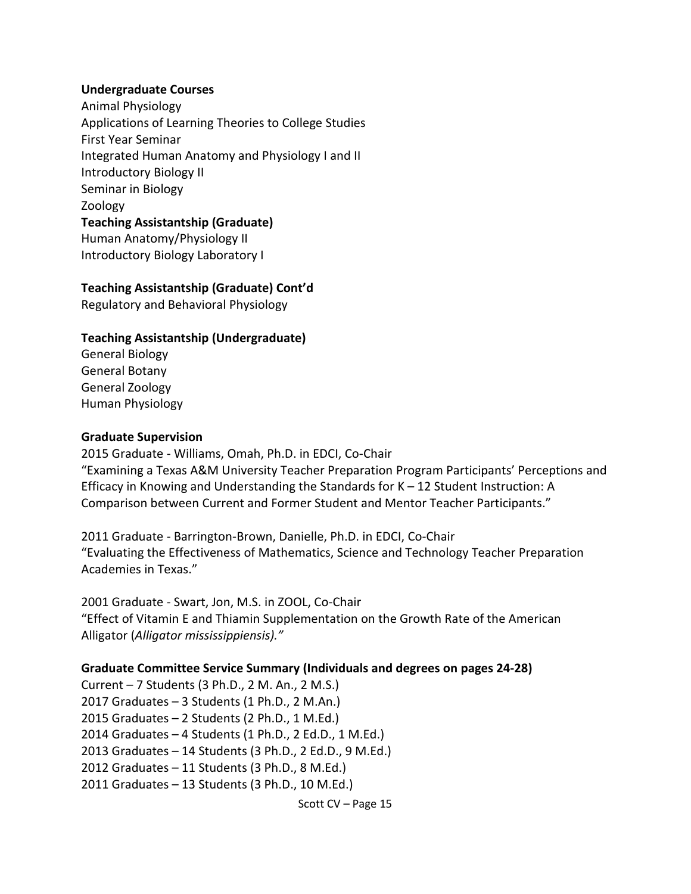#### **Undergraduate Courses**

Animal Physiology Applications of Learning Theories to College Studies First Year Seminar Integrated Human Anatomy and Physiology I and II Introductory Biology II Seminar in Biology Zoology **Teaching Assistantship (Graduate)** Human Anatomy/Physiology II Introductory Biology Laboratory I

### **Teaching Assistantship (Graduate) Cont'd**

Regulatory and Behavioral Physiology

### **Teaching Assistantship (Undergraduate)**

General Biology General Botany General Zoology Human Physiology

#### **Graduate Supervision**

2015 Graduate - Williams, Omah, Ph.D. in EDCI, Co-Chair "Examining a Texas A&M University Teacher Preparation Program Participants' Perceptions and Efficacy in Knowing and Understanding the Standards for K – 12 Student Instruction: A Comparison between Current and Former Student and Mentor Teacher Participants."

2011 Graduate - Barrington-Brown, Danielle, Ph.D. in EDCI, Co-Chair "Evaluating the Effectiveness of Mathematics, Science and Technology Teacher Preparation Academies in Texas."

2001 Graduate - Swart, Jon, M.S. in ZOOL, Co-Chair "Effect of Vitamin E and Thiamin Supplementation on the Growth Rate of the American Alligator (*Alligator mississippiensis)."*

### **Graduate Committee Service Summary (Individuals and degrees on pages 24-28)**

Current – 7 Students (3 Ph.D., 2 M. An., 2 M.S.) 2017 Graduates – 3 Students (1 Ph.D., 2 M.An.) 2015 Graduates – 2 Students (2 Ph.D., 1 M.Ed.) 2014 Graduates – 4 Students (1 Ph.D., 2 Ed.D., 1 M.Ed.) 2013 Graduates – 14 Students (3 Ph.D., 2 Ed.D., 9 M.Ed.) 2012 Graduates – 11 Students (3 Ph.D., 8 M.Ed.) 2011 Graduates – 13 Students (3 Ph.D., 10 M.Ed.)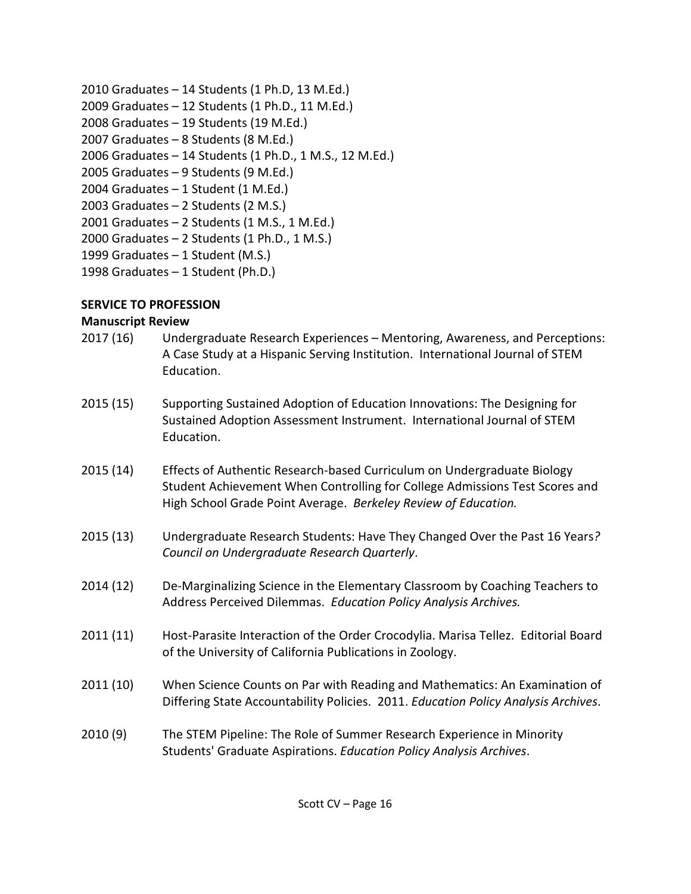- 2010 Graduates 14 Students (1 Ph.D, 13 M.Ed.)
- 2009 Graduates 12 Students (1 Ph.D., 11 M.Ed.)
- 2008 Graduates 19 Students (19 M.Ed.)
- 2007 Graduates 8 Students (8 M.Ed.)
- 2006 Graduates 14 Students (1 Ph.D., 1 M.S., 12 M.Ed.)
- 2005 Graduates 9 Students (9 M.Ed.)
- 2004 Graduates 1 Student (1 M.Ed.)
- 2003 Graduates 2 Students (2 M.S.)
- 2001 Graduates 2 Students (1 M.S., 1 M.Ed.)
- 2000 Graduates 2 Students (1 Ph.D., 1 M.S.)
- 1999 Graduates 1 Student (M.S.)
- 1998 Graduates 1 Student (Ph.D.)

# **SERVICE TO PROFESSION**

## **Manuscript Review**

- 2017 (16) Undergraduate Research Experiences Mentoring, Awareness, and Perceptions: A Case Study at a Hispanic Serving Institution. International Journal of STEM Education.
- 2015 (15) Supporting Sustained Adoption of Education Innovations: The Designing for Sustained Adoption Assessment Instrument. International Journal of STEM Education.
- 2015 (14) Effects of Authentic Research-based Curriculum on Undergraduate Biology Student Achievement When Controlling for College Admissions Test Scores and High School Grade Point Average. *Berkeley Review of Education.*
- 2015 (13) Undergraduate Research Students: Have They Changed Over the Past 16 Years*? Council on Undergraduate Research Quarterly*.
- 2014 (12) De-Marginalizing Science in the Elementary Classroom by Coaching Teachers to Address Perceived Dilemmas. *Education Policy Analysis Archives.*
- 2011 (11) Host-Parasite Interaction of the Order Crocodylia. Marisa Tellez. Editorial Board of the University of California Publications in Zoology.
- 2011 (10) When Science Counts on Par with Reading and Mathematics: An Examination of Differing State Accountability Policies. 2011. *Education Policy Analysis Archives*.
- 2010 (9) The STEM Pipeline: The Role of Summer Research Experience in Minority Students' Graduate Aspirations. *Education Policy Analysis Archives*.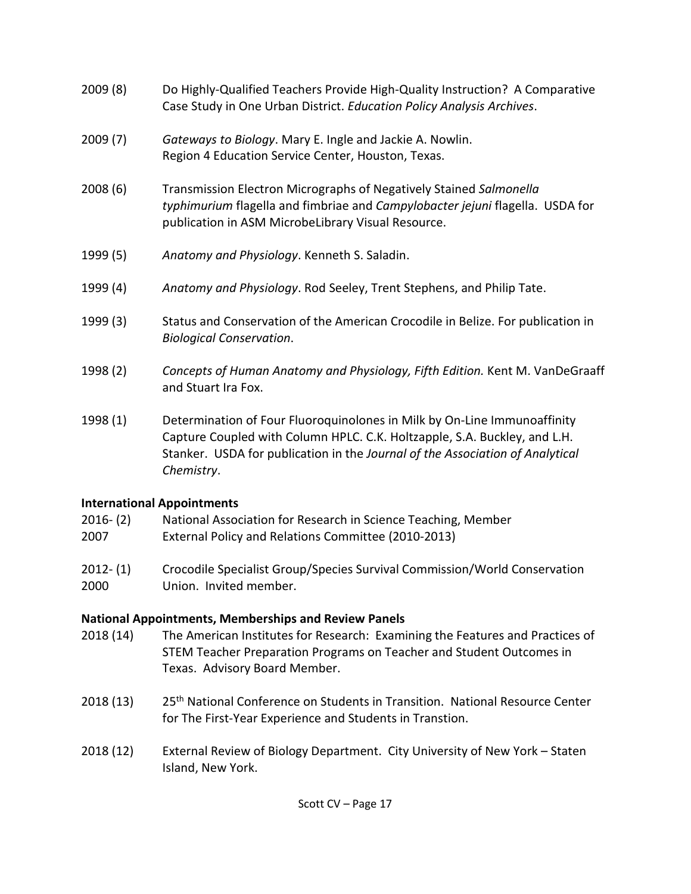- 2009 (8) Do Highly-Qualified Teachers Provide High-Quality Instruction? A Comparative Case Study in One Urban District. *Education Policy Analysis Archives*.
- 2009 (7) *Gateways to Biology*. Mary E. Ingle and Jackie A. Nowlin. Region 4 Education Service Center, Houston, Texas.
- 2008 (6) Transmission Electron Micrographs of Negatively Stained *Salmonella typhimurium* flagella and fimbriae and *Campylobacter jejuni* flagella. USDA for publication in ASM MicrobeLibrary Visual Resource.
- 1999 (5) *Anatomy and Physiology*. Kenneth S. Saladin.
- 1999 (4) *Anatomy and Physiology*. Rod Seeley, Trent Stephens, and Philip Tate.
- 1999 (3) Status and Conservation of the American Crocodile in Belize. For publication in *Biological Conservation*.
- 1998 (2) *Concepts of Human Anatomy and Physiology, Fifth Edition.* Kent M. VanDeGraaff and Stuart Ira Fox.
- 1998 (1) Determination of Four Fluoroquinolones in Milk by On-Line Immunoaffinity Capture Coupled with Column HPLC. C.K. Holtzapple, S.A. Buckley, and L.H. Stanker. USDA for publication in the *Journal of the Association of Analytical Chemistry*.

## **International Appointments**

| 2016- (2) | National Association for Research in Science Teaching, Member |
|-----------|---------------------------------------------------------------|
| 2007      | External Policy and Relations Committee (2010-2013)           |
| $\cdots$  | .                                                             |

2012- (1) Crocodile Specialist Group/Species Survival Commission/World Conservation 2000 Union. Invited member.

## **National Appointments, Memberships and Review Panels**

- 2018 (14) The American Institutes for Research: Examining the Features and Practices of STEM Teacher Preparation Programs on Teacher and Student Outcomes in Texas. Advisory Board Member.
- 2018 (13) 25<sup>th</sup> National Conference on Students in Transition. National Resource Center for The First-Year Experience and Students in Transtion.
- 2018 (12) External Review of Biology Department. City University of New York Staten Island, New York.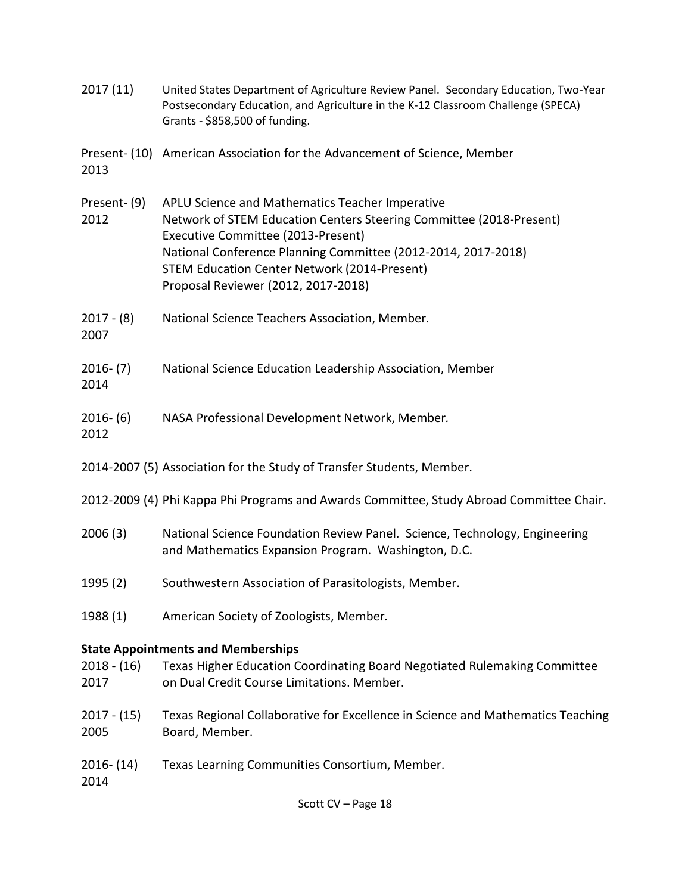| 2017(11)              | United States Department of Agriculture Review Panel. Secondary Education, Two-Year<br>Postsecondary Education, and Agriculture in the K-12 Classroom Challenge (SPECA)<br>Grants - \$858,500 of funding.                                                                                                                   |
|-----------------------|-----------------------------------------------------------------------------------------------------------------------------------------------------------------------------------------------------------------------------------------------------------------------------------------------------------------------------|
| 2013                  | Present- (10) American Association for the Advancement of Science, Member                                                                                                                                                                                                                                                   |
| Present-(9)<br>2012   | APLU Science and Mathematics Teacher Imperative<br>Network of STEM Education Centers Steering Committee (2018-Present)<br>Executive Committee (2013-Present)<br>National Conference Planning Committee (2012-2014, 2017-2018)<br><b>STEM Education Center Network (2014-Present)</b><br>Proposal Reviewer (2012, 2017-2018) |
| $2017 - (8)$<br>2007  | National Science Teachers Association, Member.                                                                                                                                                                                                                                                                              |
| $2016-(7)$<br>2014    | National Science Education Leadership Association, Member                                                                                                                                                                                                                                                                   |
| $2016-(6)$<br>2012    | NASA Professional Development Network, Member.                                                                                                                                                                                                                                                                              |
|                       | 2014-2007 (5) Association for the Study of Transfer Students, Member.                                                                                                                                                                                                                                                       |
|                       | 2012-2009 (4) Phi Kappa Phi Programs and Awards Committee, Study Abroad Committee Chair.                                                                                                                                                                                                                                    |
| 2006(3)               | National Science Foundation Review Panel. Science, Technology, Engineering<br>and Mathematics Expansion Program. Washington, D.C.                                                                                                                                                                                           |
| 1995 (2)              | Southwestern Association of Parasitologists, Member.                                                                                                                                                                                                                                                                        |
| 1988 (1)              | American Society of Zoologists, Member.                                                                                                                                                                                                                                                                                     |
|                       | <b>State Appointments and Memberships</b>                                                                                                                                                                                                                                                                                   |
| $2018 - (16)$<br>2017 | Texas Higher Education Coordinating Board Negotiated Rulemaking Committee<br>on Dual Credit Course Limitations. Member.                                                                                                                                                                                                     |
| $2017 - (15)$<br>2005 | Texas Regional Collaborative for Excellence in Science and Mathematics Teaching<br>Board, Member.                                                                                                                                                                                                                           |
| $2016 - (14)$<br>2014 | Texas Learning Communities Consortium, Member.                                                                                                                                                                                                                                                                              |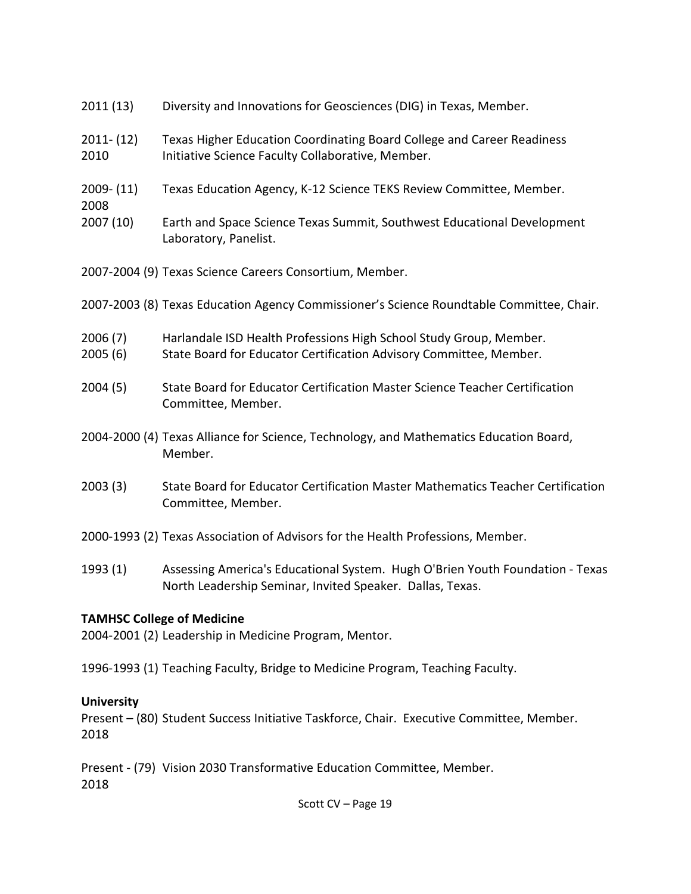- 2011 (13) Diversity and Innovations for Geosciences (DIG) in Texas, Member.
- 2011- (12) Texas Higher Education Coordinating Board College and Career Readiness 2010 Initiative Science Faculty Collaborative, Member.
- 2009- (11) Texas Education Agency, K-12 Science TEKS Review Committee, Member.
- 2008
- 2007 (10) Earth and Space Science Texas Summit, Southwest Educational Development Laboratory, Panelist.
- 2007-2004 (9) Texas Science Careers Consortium, Member.
- 2007-2003 (8) Texas Education Agency Commissioner's Science Roundtable Committee, Chair.
- 2006 (7) Harlandale ISD Health Professions High School Study Group, Member.
- 2005 (6) State Board for Educator Certification Advisory Committee, Member.
- 2004 (5) State Board for Educator Certification Master Science Teacher Certification Committee, Member.
- 2004-2000 (4) Texas Alliance for Science, Technology, and Mathematics Education Board, Member.
- 2003 (3) State Board for Educator Certification Master Mathematics Teacher Certification Committee, Member.
- 2000-1993 (2) Texas Association of Advisors for the Health Professions, Member.
- 1993 (1) Assessing America's Educational System. Hugh O'Brien Youth Foundation Texas North Leadership Seminar, Invited Speaker. Dallas, Texas.

### **TAMHSC College of Medicine**

2004-2001 (2) Leadership in Medicine Program, Mentor.

1996-1993 (1) Teaching Faculty, Bridge to Medicine Program, Teaching Faculty.

## **University**

Present – (80) Student Success Initiative Taskforce, Chair. Executive Committee, Member. 2018

Present - (79) Vision 2030 Transformative Education Committee, Member. 2018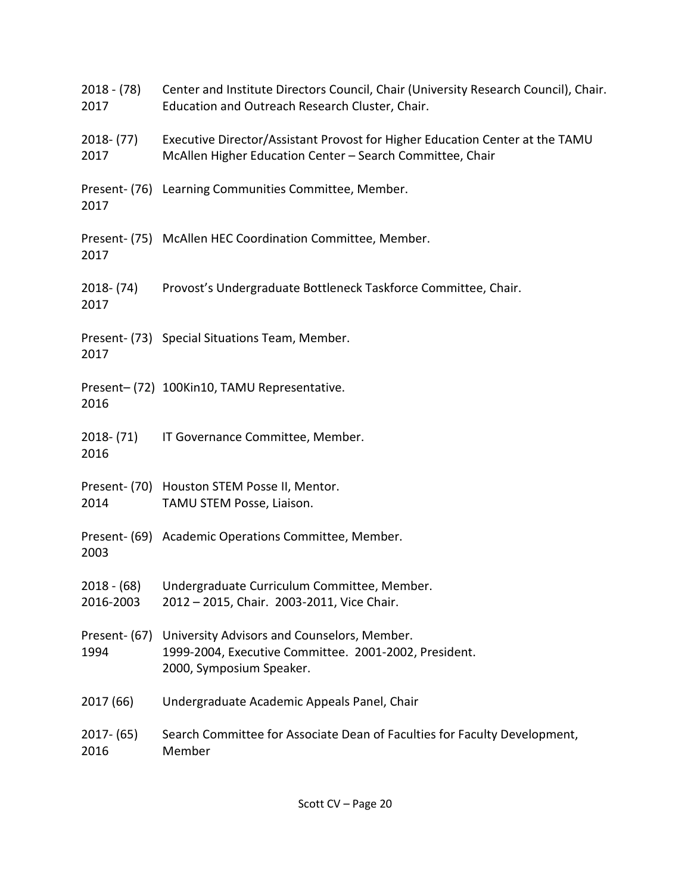| 2018 - (78)<br>2017   | Center and Institute Directors Council, Chair (University Research Council), Chair.<br>Education and Outreach Research Cluster, Chair.    |
|-----------------------|-------------------------------------------------------------------------------------------------------------------------------------------|
| 2018- (77)<br>2017    | Executive Director/Assistant Provost for Higher Education Center at the TAMU<br>McAllen Higher Education Center - Search Committee, Chair |
| 2017                  | Present- (76) Learning Communities Committee, Member.                                                                                     |
| 2017                  | Present- (75) McAllen HEC Coordination Committee, Member.                                                                                 |
| 2018- (74)<br>2017    | Provost's Undergraduate Bottleneck Taskforce Committee, Chair.                                                                            |
| 2017                  | Present- (73) Special Situations Team, Member.                                                                                            |
| 2016                  | Present-(72) 100Kin10, TAMU Representative.                                                                                               |
| 2018- (71)<br>2016    | IT Governance Committee, Member.                                                                                                          |
| 2014                  | Present- (70) Houston STEM Posse II, Mentor.<br>TAMU STEM Posse, Liaison.                                                                 |
| 2003                  | Present- (69) Academic Operations Committee, Member.                                                                                      |
| 2016-2003             | 2018 - (68) Undergraduate Curriculum Committee, Member.<br>2012 - 2015, Chair. 2003-2011, Vice Chair.                                     |
| Present- (67)<br>1994 | University Advisors and Counselors, Member.<br>1999-2004, Executive Committee. 2001-2002, President.<br>2000, Symposium Speaker.          |
| 2017 (66)             | Undergraduate Academic Appeals Panel, Chair                                                                                               |
| $2017 - (65)$<br>2016 | Search Committee for Associate Dean of Faculties for Faculty Development,<br>Member                                                       |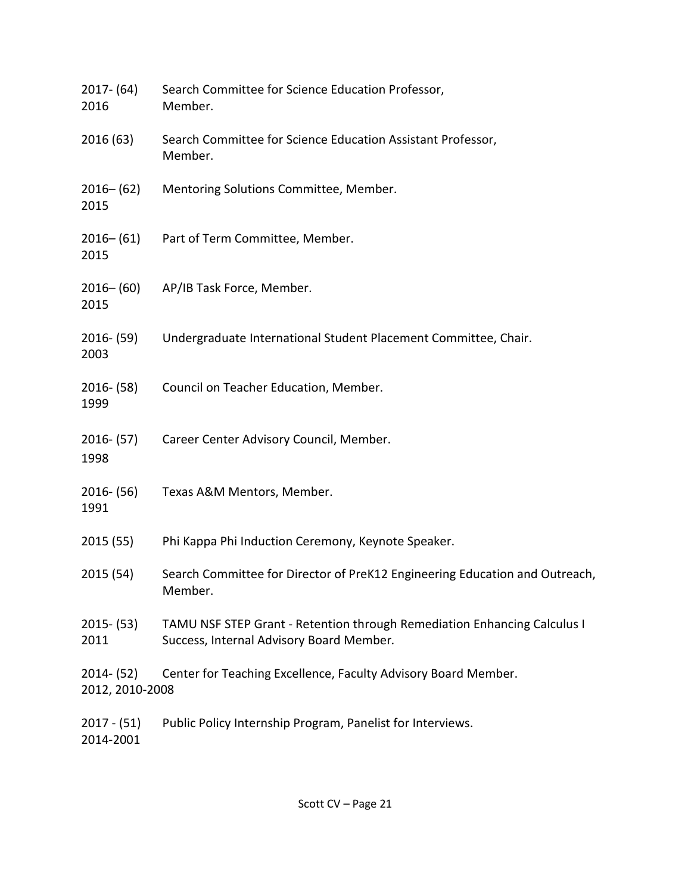| $2017 - (64)$<br>2016            | Search Committee for Science Education Professor,<br>Member.                                                         |
|----------------------------------|----------------------------------------------------------------------------------------------------------------------|
| 2016 (63)                        | Search Committee for Science Education Assistant Professor,<br>Member.                                               |
| $2016 - (62)$<br>2015            | Mentoring Solutions Committee, Member.                                                                               |
| $2016 - (61)$<br>2015            | Part of Term Committee, Member.                                                                                      |
| $2016 - (60)$<br>2015            | AP/IB Task Force, Member.                                                                                            |
| $2016 - (59)$<br>2003            | Undergraduate International Student Placement Committee, Chair.                                                      |
| $2016 - (58)$<br>1999            | Council on Teacher Education, Member.                                                                                |
| $2016 - (57)$<br>1998            | Career Center Advisory Council, Member.                                                                              |
| $2016 - (56)$<br>1991            | Texas A&M Mentors, Member.                                                                                           |
| 2015(55)                         | Phi Kappa Phi Induction Ceremony, Keynote Speaker.                                                                   |
| 2015 (54)                        | Search Committee for Director of PreK12 Engineering Education and Outreach,<br>Member.                               |
| $2015 - (53)$<br>2011            | TAMU NSF STEP Grant - Retention through Remediation Enhancing Calculus I<br>Success, Internal Advisory Board Member. |
| $2014 - (52)$<br>2012, 2010-2008 | Center for Teaching Excellence, Faculty Advisory Board Member.                                                       |
| $2017 - (51)$<br>2014-2001       | Public Policy Internship Program, Panelist for Interviews.                                                           |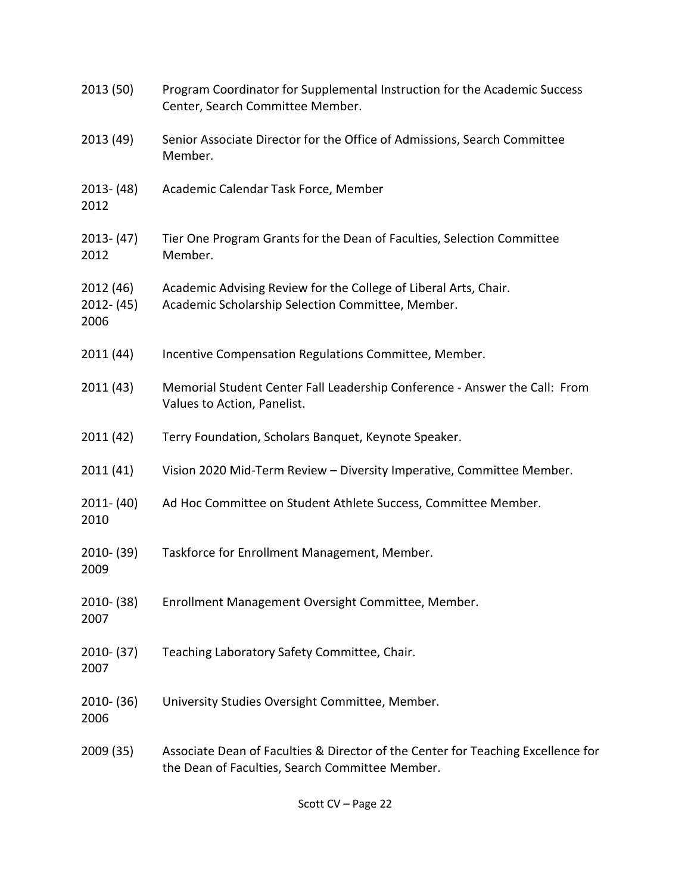| 2013 (50)                          | Program Coordinator for Supplemental Instruction for the Academic Success<br>Center, Search Committee Member.                       |
|------------------------------------|-------------------------------------------------------------------------------------------------------------------------------------|
| 2013 (49)                          | Senior Associate Director for the Office of Admissions, Search Committee<br>Member.                                                 |
| $2013 - (48)$<br>2012              | Academic Calendar Task Force, Member                                                                                                |
| $2013 - (47)$<br>2012              | Tier One Program Grants for the Dean of Faculties, Selection Committee<br>Member.                                                   |
| 2012 (46)<br>$2012 - (45)$<br>2006 | Academic Advising Review for the College of Liberal Arts, Chair.<br>Academic Scholarship Selection Committee, Member.               |
| 2011 (44)                          | Incentive Compensation Regulations Committee, Member.                                                                               |
| 2011 (43)                          | Memorial Student Center Fall Leadership Conference - Answer the Call: From<br>Values to Action, Panelist.                           |
| 2011 (42)                          | Terry Foundation, Scholars Banquet, Keynote Speaker.                                                                                |
| 2011(41)                           | Vision 2020 Mid-Term Review - Diversity Imperative, Committee Member.                                                               |
| $2011 - (40)$<br>2010              | Ad Hoc Committee on Student Athlete Success, Committee Member.                                                                      |
| $2010 - (39)$<br>2009              | Taskforce for Enrollment Management, Member.                                                                                        |
| $2010 - (38)$<br>2007              | Enrollment Management Oversight Committee, Member.                                                                                  |
| $2010 - (37)$<br>2007              | Teaching Laboratory Safety Committee, Chair.                                                                                        |
| $2010 - (36)$<br>2006              | University Studies Oversight Committee, Member.                                                                                     |
| 2009 (35)                          | Associate Dean of Faculties & Director of the Center for Teaching Excellence for<br>the Dean of Faculties, Search Committee Member. |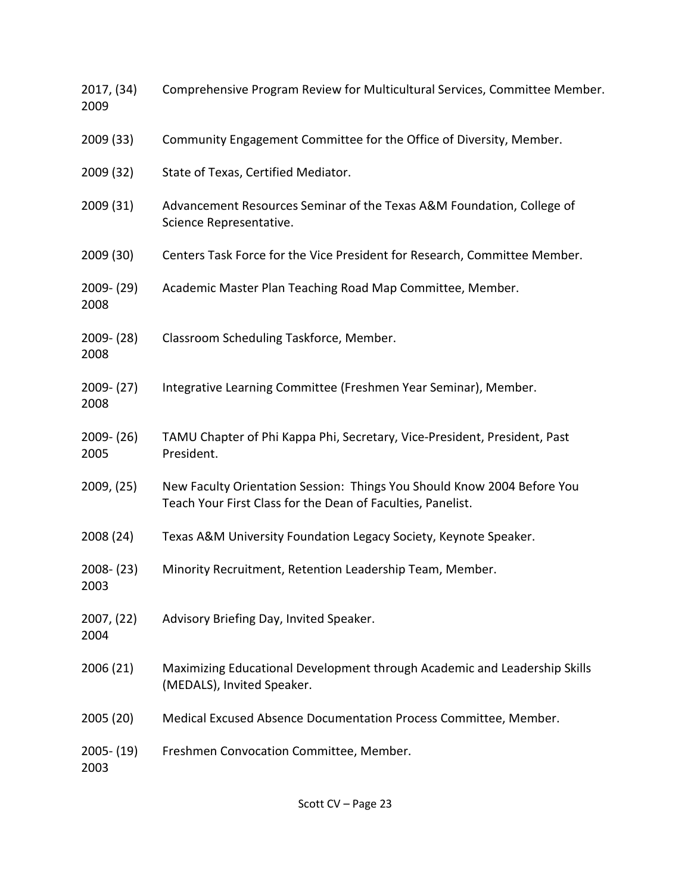| 2017, (34)<br>2009    | Comprehensive Program Review for Multicultural Services, Committee Member.                                                             |
|-----------------------|----------------------------------------------------------------------------------------------------------------------------------------|
| 2009 (33)             | Community Engagement Committee for the Office of Diversity, Member.                                                                    |
| 2009 (32)             | State of Texas, Certified Mediator.                                                                                                    |
| 2009 (31)             | Advancement Resources Seminar of the Texas A&M Foundation, College of<br>Science Representative.                                       |
| 2009 (30)             | Centers Task Force for the Vice President for Research, Committee Member.                                                              |
| $2009 - (29)$<br>2008 | Academic Master Plan Teaching Road Map Committee, Member.                                                                              |
| $2009 - (28)$<br>2008 | Classroom Scheduling Taskforce, Member.                                                                                                |
| $2009 - (27)$<br>2008 | Integrative Learning Committee (Freshmen Year Seminar), Member.                                                                        |
| $2009 - (26)$<br>2005 | TAMU Chapter of Phi Kappa Phi, Secretary, Vice-President, President, Past<br>President.                                                |
| 2009, (25)            | New Faculty Orientation Session: Things You Should Know 2004 Before You<br>Teach Your First Class for the Dean of Faculties, Panelist. |
| 2008 (24)             | Texas A&M University Foundation Legacy Society, Keynote Speaker.                                                                       |
| $2008 - (23)$<br>2003 | Minority Recruitment, Retention Leadership Team, Member.                                                                               |
| 2007, (22)<br>2004    | Advisory Briefing Day, Invited Speaker.                                                                                                |
| 2006 (21)             | Maximizing Educational Development through Academic and Leadership Skills<br>(MEDALS), Invited Speaker.                                |
| 2005 (20)             | Medical Excused Absence Documentation Process Committee, Member.                                                                       |
| $2005 - (19)$<br>2003 | Freshmen Convocation Committee, Member.                                                                                                |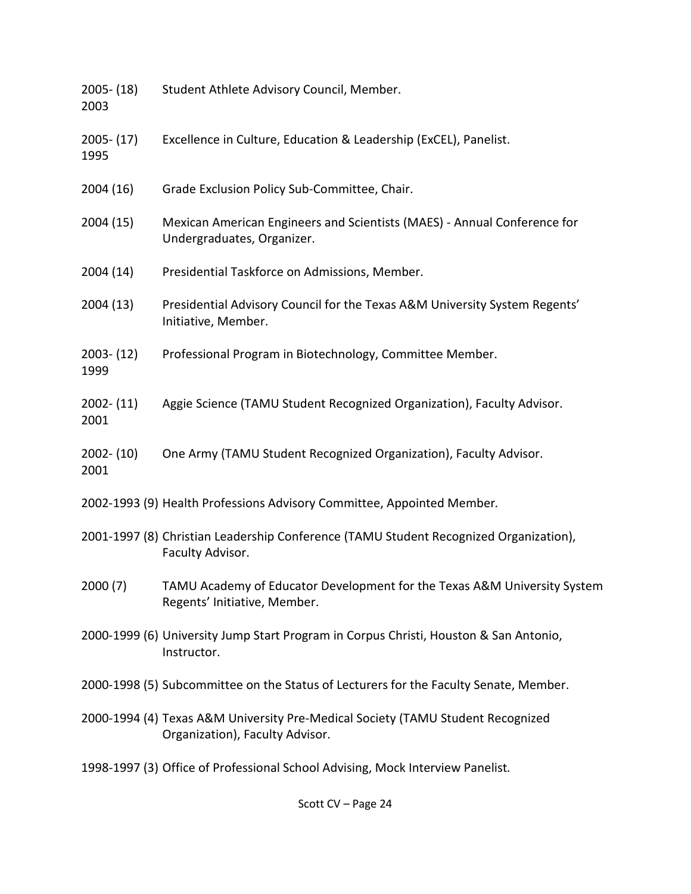2005- (18) Student Athlete Advisory Council, Member. 2003 2005- (17) Excellence in Culture, Education & Leadership (ExCEL), Panelist. 1995 2004 (16) Grade Exclusion Policy Sub-Committee, Chair. 2004 (15) Mexican American Engineers and Scientists (MAES) - Annual Conference for Undergraduates, Organizer. 2004 (14) Presidential Taskforce on Admissions, Member. 2004 (13) Presidential Advisory Council for the Texas A&M University System Regents' Initiative, Member. 2003- (12) Professional Program in Biotechnology, Committee Member. 1999 2002- (11) Aggie Science (TAMU Student Recognized Organization), Faculty Advisor. 2001 2002- (10) One Army (TAMU Student Recognized Organization), Faculty Advisor. 2001 2002-1993 (9) Health Professions Advisory Committee, Appointed Member*.* 2001-1997 (8) Christian Leadership Conference (TAMU Student Recognized Organization), Faculty Advisor. 2000 (7) TAMU Academy of Educator Development for the Texas A&M University System Regents' Initiative, Member. 2000-1999 (6) University Jump Start Program in Corpus Christi, Houston & San Antonio, Instructor. 2000-1998 (5) Subcommittee on the Status of Lecturers for the Faculty Senate, Member. 2000-1994 (4) Texas A&M University Pre-Medical Society (TAMU Student Recognized Organization), Faculty Advisor. 1998-1997 (3) Office of Professional School Advising, Mock Interview Panelist*.*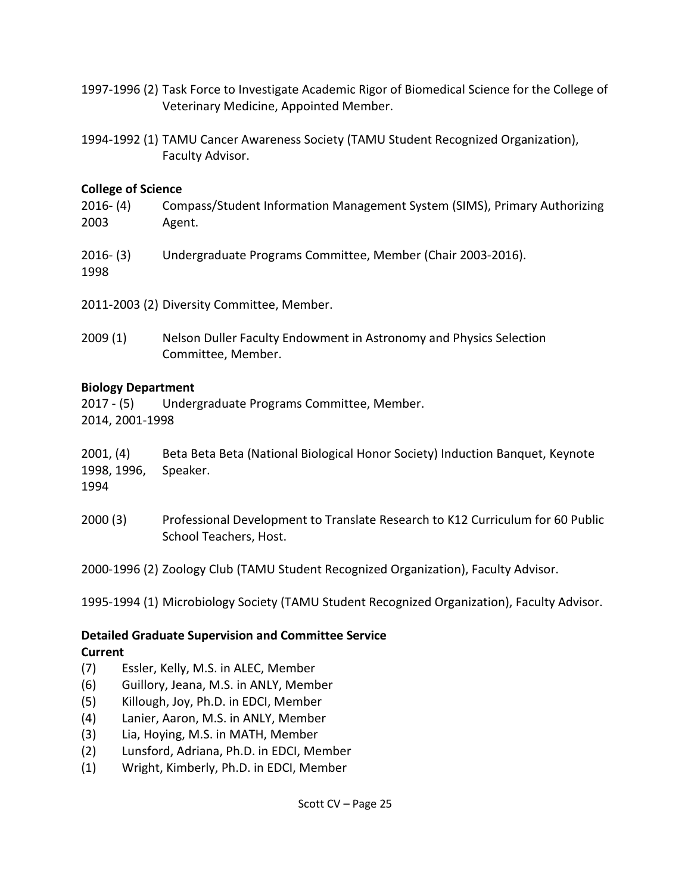- 1997-1996 (2) Task Force to Investigate Academic Rigor of Biomedical Science for the College of Veterinary Medicine, Appointed Member.
- 1994-1992 (1) TAMU Cancer Awareness Society (TAMU Student Recognized Organization), Faculty Advisor.

## **College of Science**

- 2016- (4) Compass/Student Information Management System (SIMS), Primary Authorizing 2003 Agent.
- 2016- (3) Undergraduate Programs Committee, Member (Chair 2003-2016). 1998

2011-2003 (2) Diversity Committee, Member.

2009 (1) Nelson Duller Faculty Endowment in Astronomy and Physics Selection Committee, Member.

## **Biology Department**

2017 - (5) Undergraduate Programs Committee, Member. 2014, 2001-1998

## 2001, (4) Beta Beta Beta (National Biological Honor Society) Induction Banquet, Keynote 1998, 1996, Speaker.

1994

2000 (3) Professional Development to Translate Research to K12 Curriculum for 60 Public School Teachers, Host.

2000-1996 (2) Zoology Club (TAMU Student Recognized Organization), Faculty Advisor.

1995-1994 (1) Microbiology Society (TAMU Student Recognized Organization), Faculty Advisor.

### **Detailed Graduate Supervision and Committee Service Current**

- (7) Essler, Kelly, M.S. in ALEC, Member
- (6) Guillory, Jeana, M.S. in ANLY, Member
- (5) Killough, Joy, Ph.D. in EDCI, Member
- (4) Lanier, Aaron, M.S. in ANLY, Member
- (3) Lia, Hoying, M.S. in MATH, Member
- (2) Lunsford, Adriana, Ph.D. in EDCI, Member
- (1) Wright, Kimberly, Ph.D. in EDCI, Member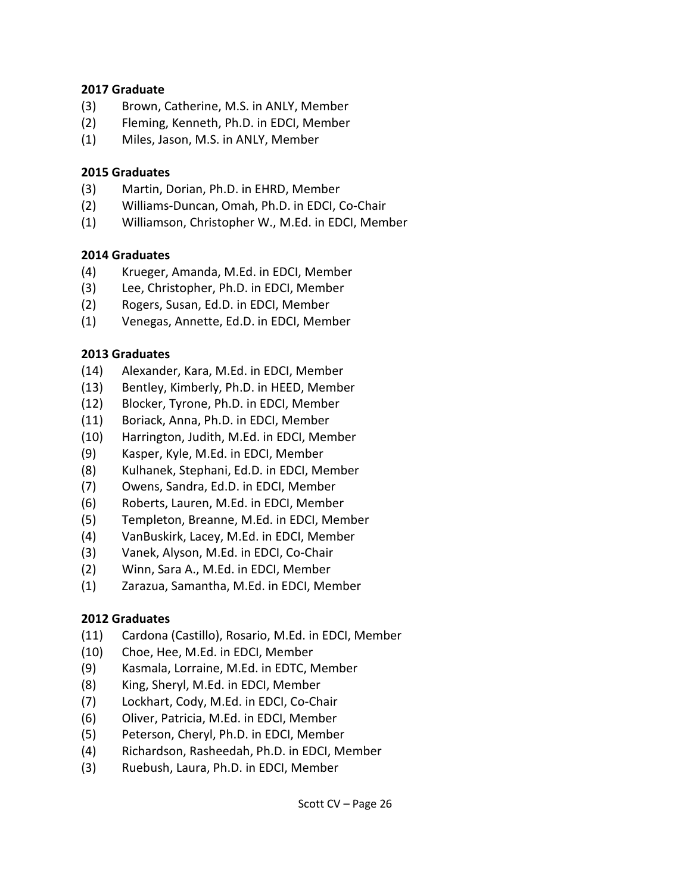### **2017 Graduate**

- (3) Brown, Catherine, M.S. in ANLY, Member
- (2) Fleming, Kenneth, Ph.D. in EDCI, Member
- (1) Miles, Jason, M.S. in ANLY, Member

### **2015 Graduates**

- (3) Martin, Dorian, Ph.D. in EHRD, Member
- (2) Williams-Duncan, Omah, Ph.D. in EDCI, Co-Chair
- (1) Williamson, Christopher W., M.Ed. in EDCI, Member

## **2014 Graduates**

- (4) Krueger, Amanda, M.Ed. in EDCI, Member
- (3) Lee, Christopher, Ph.D. in EDCI, Member
- (2) Rogers, Susan, Ed.D. in EDCI, Member
- (1) Venegas, Annette, Ed.D. in EDCI, Member

## **2013 Graduates**

- (14) Alexander, Kara, M.Ed. in EDCI, Member
- (13) Bentley, Kimberly, Ph.D. in HEED, Member
- (12) Blocker, Tyrone, Ph.D. in EDCI, Member
- (11) Boriack, Anna, Ph.D. in EDCI, Member
- (10) Harrington, Judith, M.Ed. in EDCI, Member
- (9) Kasper, Kyle, M.Ed. in EDCI, Member
- (8) Kulhanek, Stephani, Ed.D. in EDCI, Member
- (7) Owens, Sandra, Ed.D. in EDCI, Member
- (6) Roberts, Lauren, M.Ed. in EDCI, Member
- (5) Templeton, Breanne, M.Ed. in EDCI, Member
- (4) VanBuskirk, Lacey, M.Ed. in EDCI, Member
- (3) Vanek, Alyson, M.Ed. in EDCI, Co-Chair
- (2) Winn, Sara A., M.Ed. in EDCI, Member
- (1) Zarazua, Samantha, M.Ed. in EDCI, Member

### **2012 Graduates**

- (11) Cardona (Castillo), Rosario, M.Ed. in EDCI, Member
- (10) Choe, Hee, M.Ed. in EDCI, Member
- (9) Kasmala, Lorraine, M.Ed. in EDTC, Member
- (8) King, Sheryl, M.Ed. in EDCI, Member
- (7) Lockhart, Cody, M.Ed. in EDCI, Co-Chair
- (6) Oliver, Patricia, M.Ed. in EDCI, Member
- (5) Peterson, Cheryl, Ph.D. in EDCI, Member
- (4) Richardson, Rasheedah, Ph.D. in EDCI, Member
- (3) Ruebush, Laura, Ph.D. in EDCI, Member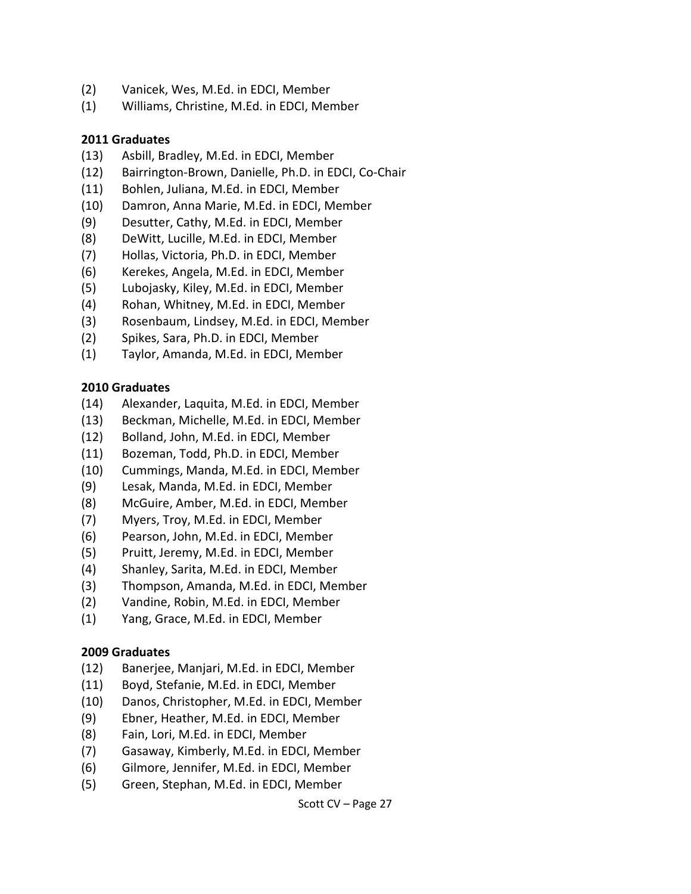- (2) Vanicek, Wes, M.Ed. in EDCI, Member
- (1) Williams, Christine, M.Ed. in EDCI, Member

### **2011 Graduates**

- (13) Asbill, Bradley, M.Ed. in EDCI, Member
- (12) Bairrington-Brown, Danielle, Ph.D. in EDCI, Co-Chair
- (11) Bohlen, Juliana, M.Ed. in EDCI, Member
- (10) Damron, Anna Marie, M.Ed. in EDCI, Member
- (9) Desutter, Cathy, M.Ed. in EDCI, Member
- (8) DeWitt, Lucille, M.Ed. in EDCI, Member
- (7) Hollas, Victoria, Ph.D. in EDCI, Member
- (6) Kerekes, Angela, M.Ed. in EDCI, Member
- (5) Lubojasky, Kiley, M.Ed. in EDCI, Member
- (4) Rohan, Whitney, M.Ed. in EDCI, Member
- (3) Rosenbaum, Lindsey, M.Ed. in EDCI, Member
- (2) Spikes, Sara, Ph.D. in EDCI, Member
- (1) Taylor, Amanda, M.Ed. in EDCI, Member

### **2010 Graduates**

- (14) Alexander, Laquita, M.Ed. in EDCI, Member
- (13) Beckman, Michelle, M.Ed. in EDCI, Member
- (12) Bolland, John, M.Ed. in EDCI, Member
- (11) Bozeman, Todd, Ph.D. in EDCI, Member
- (10) Cummings, Manda, M.Ed. in EDCI, Member
- (9) Lesak, Manda, M.Ed. in EDCI, Member
- (8) McGuire, Amber, M.Ed. in EDCI, Member
- (7) Myers, Troy, M.Ed. in EDCI, Member
- (6) Pearson, John, M.Ed. in EDCI, Member
- (5) Pruitt, Jeremy, M.Ed. in EDCI, Member
- (4) Shanley, Sarita, M.Ed. in EDCI, Member
- (3) Thompson, Amanda, M.Ed. in EDCI, Member
- (2) Vandine, Robin, M.Ed. in EDCI, Member
- (1) Yang, Grace, M.Ed. in EDCI, Member

### **2009 Graduates**

- (12) Banerjee, Manjari, M.Ed. in EDCI, Member
- (11) Boyd, Stefanie, M.Ed. in EDCI, Member
- (10) Danos, Christopher, M.Ed. in EDCI, Member
- (9) Ebner, Heather, M.Ed. in EDCI, Member
- (8) Fain, Lori, M.Ed. in EDCI, Member
- (7) Gasaway, Kimberly, M.Ed. in EDCI, Member
- (6) Gilmore, Jennifer, M.Ed. in EDCI, Member
- (5) Green, Stephan, M.Ed. in EDCI, Member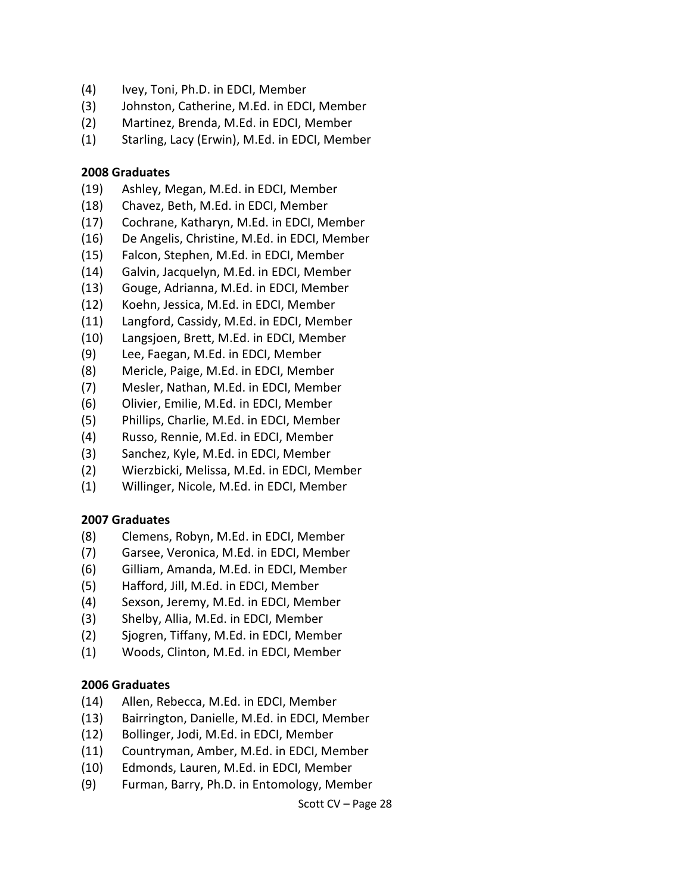- (4) Ivey, Toni, Ph.D. in EDCI, Member
- (3) Johnston, Catherine, M.Ed. in EDCI, Member
- (2) Martinez, Brenda, M.Ed. in EDCI, Member
- (1) Starling, Lacy (Erwin), M.Ed. in EDCI, Member

### **2008 Graduates**

- (19) Ashley, Megan, M.Ed. in EDCI, Member
- (18) Chavez, Beth, M.Ed. in EDCI, Member
- (17) Cochrane, Katharyn, M.Ed. in EDCI, Member
- (16) De Angelis, Christine, M.Ed. in EDCI, Member
- (15) Falcon, Stephen, M.Ed. in EDCI, Member
- (14) Galvin, Jacquelyn, M.Ed. in EDCI, Member
- (13) Gouge, Adrianna, M.Ed. in EDCI, Member
- (12) Koehn, Jessica, M.Ed. in EDCI, Member
- (11) Langford, Cassidy, M.Ed. in EDCI, Member
- (10) Langsjoen, Brett, M.Ed. in EDCI, Member
- (9) Lee, Faegan, M.Ed. in EDCI, Member
- (8) Mericle, Paige, M.Ed. in EDCI, Member
- (7) Mesler, Nathan, M.Ed. in EDCI, Member
- (6) Olivier, Emilie, M.Ed. in EDCI, Member
- (5) Phillips, Charlie, M.Ed. in EDCI, Member
- (4) Russo, Rennie, M.Ed. in EDCI, Member
- (3) Sanchez, Kyle, M.Ed. in EDCI, Member
- (2) Wierzbicki, Melissa, M.Ed. in EDCI, Member
- (1) Willinger, Nicole, M.Ed. in EDCI, Member

### **2007 Graduates**

- (8) Clemens, Robyn, M.Ed. in EDCI, Member
- (7) Garsee, Veronica, M.Ed. in EDCI, Member
- (6) Gilliam, Amanda, M.Ed. in EDCI, Member
- (5) Hafford, Jill, M.Ed. in EDCI, Member
- (4) Sexson, Jeremy, M.Ed. in EDCI, Member
- (3) Shelby, Allia, M.Ed. in EDCI, Member
- (2) Sjogren, Tiffany, M.Ed. in EDCI, Member
- (1) Woods, Clinton, M.Ed. in EDCI, Member

#### **2006 Graduates**

- (14) Allen, Rebecca, M.Ed. in EDCI, Member
- (13) Bairrington, Danielle, M.Ed. in EDCI, Member
- (12) Bollinger, Jodi, M.Ed. in EDCI, Member
- (11) Countryman, Amber, M.Ed. in EDCI, Member
- (10) Edmonds, Lauren, M.Ed. in EDCI, Member
- (9) Furman, Barry, Ph.D. in Entomology, Member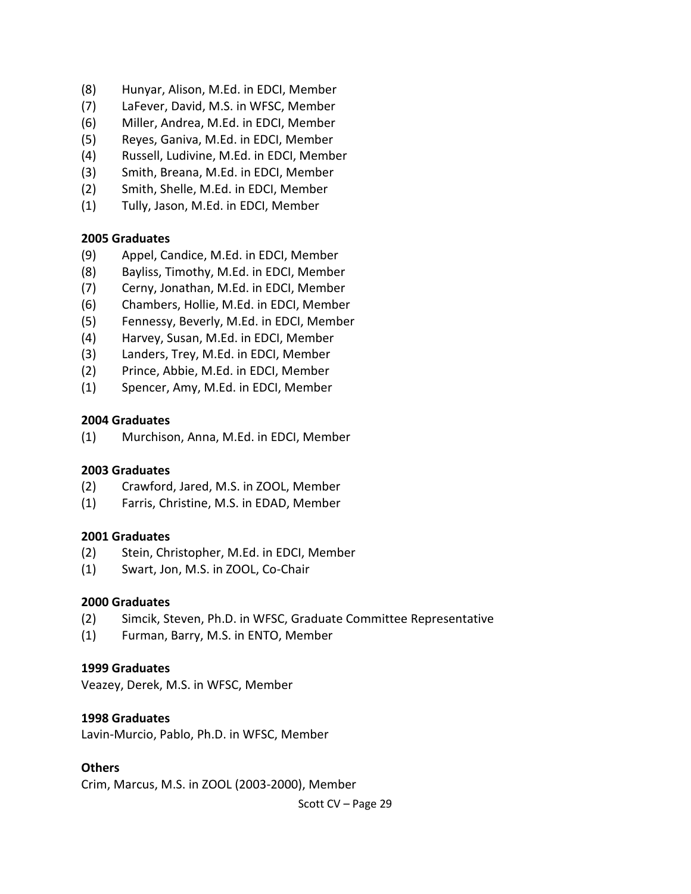- (8) Hunyar, Alison, M.Ed. in EDCI, Member
- (7) LaFever, David, M.S. in WFSC, Member
- (6) Miller, Andrea, M.Ed. in EDCI, Member
- (5) Reyes, Ganiva, M.Ed. in EDCI, Member
- (4) Russell, Ludivine, M.Ed. in EDCI, Member
- (3) Smith, Breana, M.Ed. in EDCI, Member
- (2) Smith, Shelle, M.Ed. in EDCI, Member
- (1) Tully, Jason, M.Ed. in EDCI, Member

#### **2005 Graduates**

- (9) Appel, Candice, M.Ed. in EDCI, Member
- (8) Bayliss, Timothy, M.Ed. in EDCI, Member
- (7) Cerny, Jonathan, M.Ed. in EDCI, Member
- (6) Chambers, Hollie, M.Ed. in EDCI, Member
- (5) Fennessy, Beverly, M.Ed. in EDCI, Member
- (4) Harvey, Susan, M.Ed. in EDCI, Member
- (3) Landers, Trey, M.Ed. in EDCI, Member
- (2) Prince, Abbie, M.Ed. in EDCI, Member
- (1) Spencer, Amy, M.Ed. in EDCI, Member

#### **2004 Graduates**

(1) Murchison, Anna, M.Ed. in EDCI, Member

#### **2003 Graduates**

- (2) Crawford, Jared, M.S. in ZOOL, Member
- (1) Farris, Christine, M.S. in EDAD, Member

#### **2001 Graduates**

- (2) Stein, Christopher, M.Ed. in EDCI, Member
- (1) Swart, Jon, M.S. in ZOOL, Co-Chair

#### **2000 Graduates**

- (2) Simcik, Steven, Ph.D. in WFSC, Graduate Committee Representative
- (1) Furman, Barry, M.S. in ENTO, Member

#### **1999 Graduates**

Veazey, Derek, M.S. in WFSC, Member

#### **1998 Graduates**

Lavin-Murcio, Pablo, Ph.D. in WFSC, Member

### **Others**

Crim, Marcus, M.S. in ZOOL (2003-2000), Member